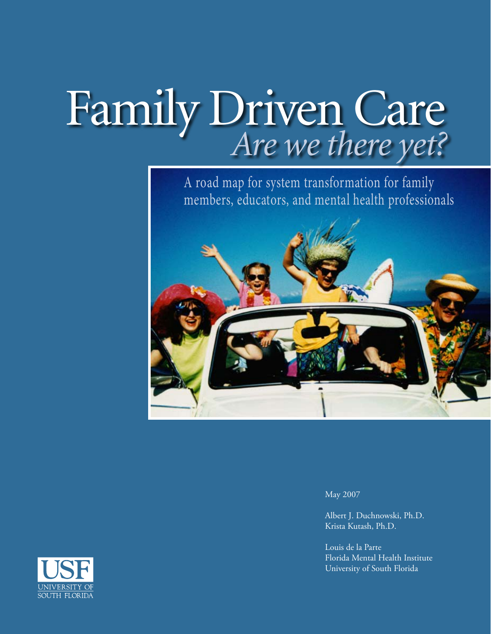# Family Driven Care *Are we there yet?*

A road map for system transformation for family members, educators, and mental health professionals



May 2007

Albert J. Duchnowski, Ph.D. Krista Kutash, Ph.D.

Louis de la Parte Florida Mental Health Institute University of South Florida

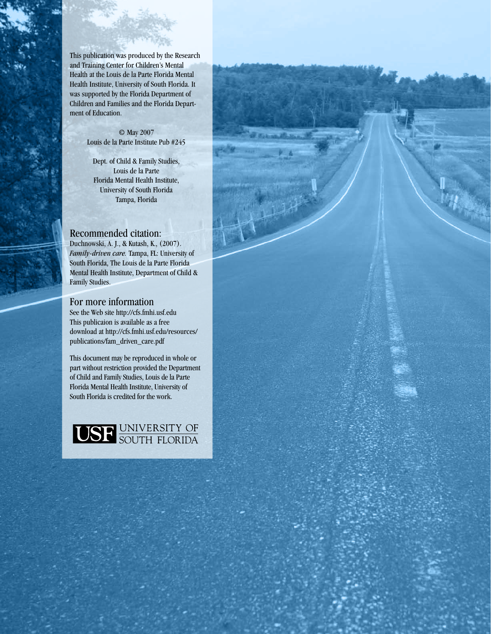This publication was produced by the Research and Training Center for Children's Mental Health at the Louis de la Parte Florida Mental Health Institute, University of South Florida. It was supported by the Florida Department of Children and Families and the Florida Department of Education.

> © May 2007 Louis de la Parte Institute Pub #245

Dept. of Child & Family Studies, Louis de la Parte Florida Mental Health Institute, University of South Florida Tampa, Florida

#### Recommended citation:

Duchnowski, A. J., & Kutash, K., (2007). *Family-driven care.* Tampa, FL: University of South Florida, The Louis de la Parte Florida Mental Health Institute, Department of Child & Family Studies.

#### For more information

See the Web site http://cfs.fmhi.usf.edu This publicaion is available as a free download at http://cfs.fmhi.usf.edu/resources/ publications/fam\_driven\_care.pdf

This document may be reproduced in whole or part without restriction provided the Department of Child and Family Studies, Louis de la Parte Florida Mental Health Institute, University of South Florida is credited for the work.

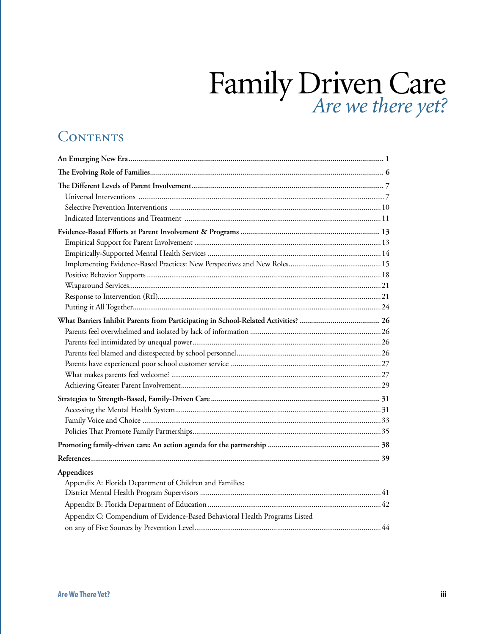# Family Driven Care *Are we there yet?*

# CONTENTS

| Appendices<br>Appendix A: Florida Department of Children and Families:<br>Appendix C: Compendium of Evidence-Based Behavioral Health Programs Listed |  |
|------------------------------------------------------------------------------------------------------------------------------------------------------|--|
|                                                                                                                                                      |  |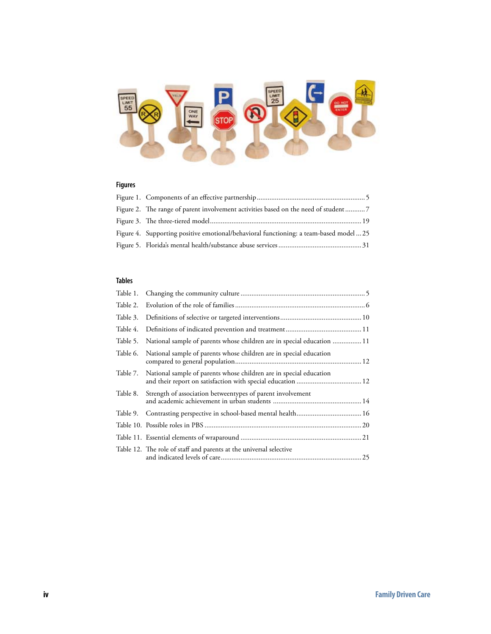

#### **Figures**

| Figure 4. Supporting positive emotional/behavioral functioning: a team-based model  25 |  |
|----------------------------------------------------------------------------------------|--|
|                                                                                        |  |

#### **Tables**

| Table 2. |                                                                                                                                   |  |
|----------|-----------------------------------------------------------------------------------------------------------------------------------|--|
| Table 3. |                                                                                                                                   |  |
| Table 4. |                                                                                                                                   |  |
| Table 5. | National sample of parents whose children are in special education  11                                                            |  |
| Table 6. | National sample of parents whose children are in special education                                                                |  |
| Table 7. | National sample of parents whose children are in special education<br>and their report on satisfaction with special education  12 |  |
| Table 8. | Strength of association betweentypes of parent involvement                                                                        |  |
| Table 9. |                                                                                                                                   |  |
|          |                                                                                                                                   |  |
|          |                                                                                                                                   |  |
|          | Table 12. The role of staff and parents at the universal selective                                                                |  |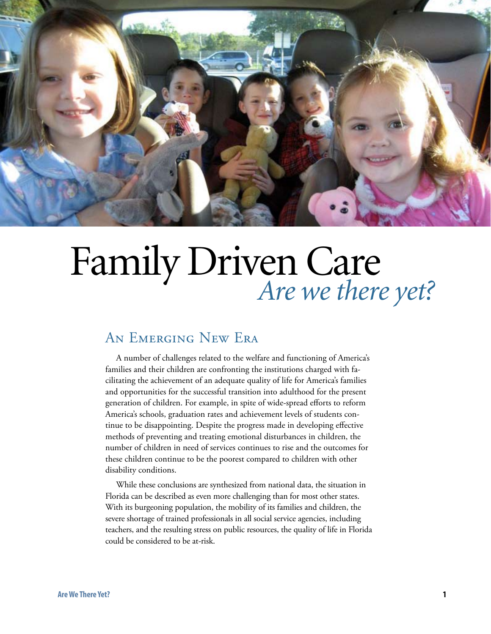

# Family Driven Care *Are we there yet?*

## AN EMERGING NEW ERA

A number of challenges related to the welfare and functioning of America's families and their children are confronting the institutions charged with facilitating the achievement of an adequate quality of life for America's families and opportunities for the successful transition into adulthood for the present generation of children. For example, in spite of wide-spread efforts to reform America's schools, graduation rates and achievement levels of students continue to be disappointing. Despite the progress made in developing effective methods of preventing and treating emotional disturbances in children, the number of children in need of services continues to rise and the outcomes for these children continue to be the poorest compared to children with other disability conditions.

While these conclusions are synthesized from national data, the situation in Florida can be described as even more challenging than for most other states. With its burgeoning population, the mobility of its families and children, the severe shortage of trained professionals in all social service agencies, including teachers, and the resulting stress on public resources, the quality of life in Florida could be considered to be at-risk.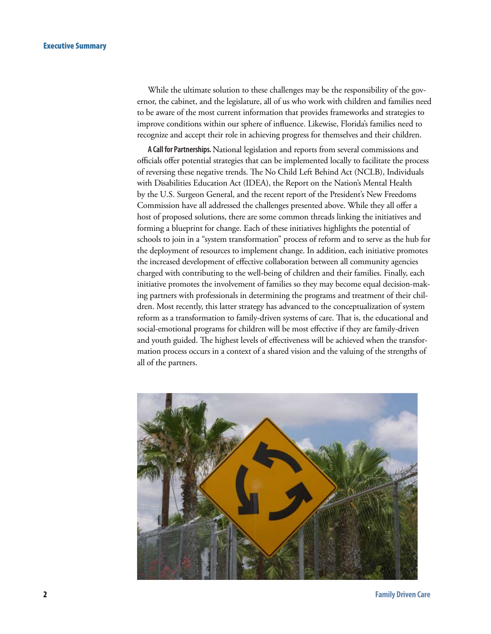While the ultimate solution to these challenges may be the responsibility of the governor, the cabinet, and the legislature, all of us who work with children and families need to be aware of the most current information that provides frameworks and strategies to improve conditions within our sphere of influence. Likewise, Florida's families need to recognize and accept their role in achieving progress for themselves and their children.

**A Call for Partnerships.** National legislation and reports from several commissions and officials offer potential strategies that can be implemented locally to facilitate the process of reversing these negative trends. The No Child Left Behind Act (NCLB), Individuals with Disabilities Education Act (IDEA), the Report on the Nation's Mental Health by the U.S. Surgeon General, and the recent report of the President's New Freedoms Commission have all addressed the challenges presented above. While they all offer a host of proposed solutions, there are some common threads linking the initiatives and forming a blueprint for change. Each of these initiatives highlights the potential of schools to join in a "system transformation" process of reform and to serve as the hub for the deployment of resources to implement change. In addition, each initiative promotes the increased development of effective collaboration between all community agencies charged with contributing to the well-being of children and their families. Finally, each initiative promotes the involvement of families so they may become equal decision-making partners with professionals in determining the programs and treatment of their children. Most recently, this latter strategy has advanced to the conceptualization of system reform as a transformation to family-driven systems of care. That is, the educational and social-emotional programs for children will be most effective if they are family-driven and youth guided. The highest levels of effectiveness will be achieved when the transformation process occurs in a context of a shared vision and the valuing of the strengths of all of the partners.

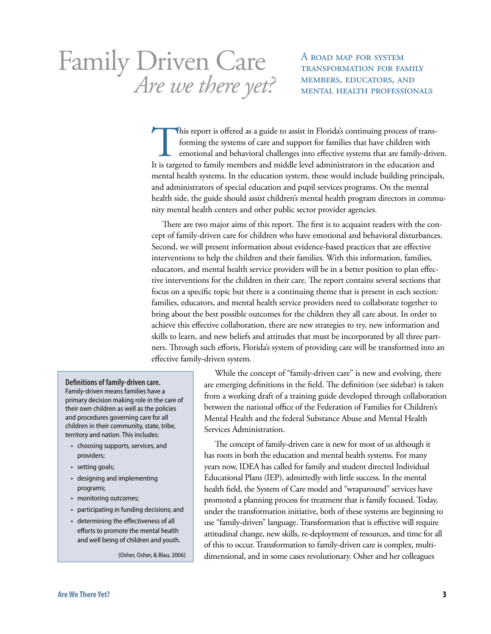# Family Driven Care Are we there yet? MEMBERS, EDUCATORS, AND

A road map for system transformation for family

This report is offered as a guide to assist in Florida's continuing process of transforming the systems of care and support for families that have children with emotional and behavioral challenges into effective systems that are family-driven. It is targeted to family members and middle level administrators in the education and mental health systems. In the education system, these would include building principals, and administrators of special education and pupil services programs. On the mental health side, the guide should assist children's mental health program directors in community mental health centers and other public sector provider agencies.

There are two major aims of this report. The first is to acquaint readers with the concept of family-driven care for children who have emotional and behavioral disturbances. Second, we will present information about evidence-based practices that are effective interventions to help the children and their families. With this information, families, educators, and mental health service providers will be in a better position to plan effective interventions for the children in their care. The report contains several sections that focus on a specific topic but there is a continuing theme that is present in each section: families, educators, and mental health service providers need to collaborate together to bring about the best possible outcomes for the children they all care about. In order to achieve this effective collaboration, there are new strategies to try, new information and skills to learn, and new beliefs and attitudes that must be incorporated by all three partners. Through such efforts, Florida's system of providing care will be transformed into an effective family-driven system.

#### **Definitions of family-driven care.**

Family-driven means families have a primary decision making role in the care of their own children as well as the policies and procedures governing care for all children in their community, state, tribe, territory and nation. This includes:

- choosing supports, services, and providers;
- setting goals;
- designing and implementing programs;
- monitoring outcomes;
- participating in funding decisions; and
- determining the effectiveness of all efforts to promote the mental health and well being of children and youth.

(Osher, Osher, & Blau, 2006)

While the concept of "family-driven care" is new and evolving, there are emerging definitions in the field. The definition (see sidebar) is taken from a working draft of a training guide developed through collaboration between the national office of the Federation of Families for Children's Mental Health and the federal Substance Abuse and Mental Health Services Administration.

The concept of family-driven care is new for most of us although it has roots in both the education and mental health systems. For many years now, IDEA has called for family and student directed Individual Educational Plans (IEP), admittedly with little success. In the mental health field, the System of Care model and "wraparound" services have promoted a planning process for treatment that is family focused. Today, under the transformation initiative, both of these systems are beginning to use "family-driven" language. Transformation that is effective will require attitudinal change, new skills, re-deployment of resources, and time for all of this to occur. Transformation to family-driven care is complex, multidimensional, and in some cases revolutionary. Osher and her colleagues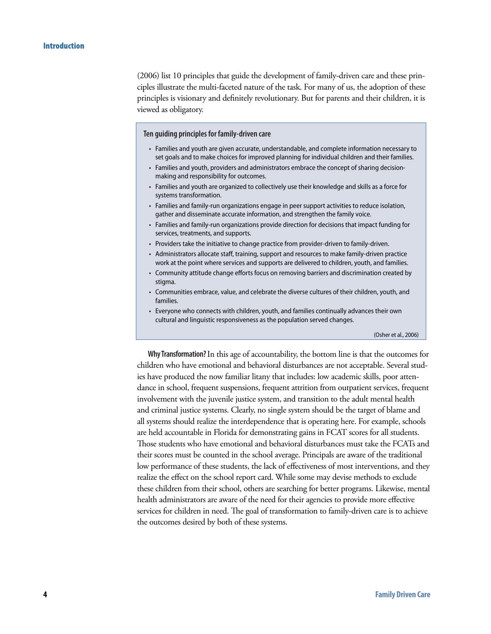(2006) list 10 principles that guide the development of family-driven care and these principles illustrate the multi-faceted nature of the task. For many of us, the adoption of these principles is visionary and definitely revolutionary. But for parents and their children, it is viewed as obligatory.

**Ten guiding principles for family-driven care**

- Families and youth are given accurate, understandable, and complete information necessary to set goals and to make choices for improved planning for individual children and their families.
- Families and youth, providers and administrators embrace the concept of sharing decisionmaking and responsibility for outcomes.
- Families and youth are organized to collectively use their knowledge and skills as a force for systems transformation.
- Families and family-run organizations engage in peer support activities to reduce isolation, gather and disseminate accurate information, and strengthen the family voice.
- Families and family-run organizations provide direction for decisions that impact funding for services, treatments, and supports.
- Providers take the initiative to change practice from provider-driven to family-driven.
- Administrators allocate staff, training, support and resources to make family-driven practice work at the point where services and supports are delivered to children, youth, and families.
- Community attitude change efforts focus on removing barriers and discrimination created by stigma.
- Communities embrace, value, and celebrate the diverse cultures of their children, youth, and families.
- Everyone who connects with children, youth, and families continually advances their own cultural and linguistic responsiveness as the population served changes.

(Osher et al., 2006)

**Why Transformation?** In this age of accountability, the bottom line is that the outcomes for children who have emotional and behavioral disturbances are not acceptable. Several studies have produced the now familiar litany that includes: low academic skills, poor attendance in school, frequent suspensions, frequent attrition from outpatient services, frequent involvement with the juvenile justice system, and transition to the adult mental health and criminal justice systems. Clearly, no single system should be the target of blame and all systems should realize the interdependence that is operating here. For example, schools are held accountable in Florida for demonstrating gains in FCAT scores for all students. Those students who have emotional and behavioral disturbances must take the FCATs and their scores must be counted in the school average. Principals are aware of the traditional low performance of these students, the lack of effectiveness of most interventions, and they realize the effect on the school report card. While some may devise methods to exclude these children from their school, others are searching for better programs. Likewise, mental health administrators are aware of the need for their agencies to provide more effective services for children in need. The goal of transformation to family-driven care is to achieve the outcomes desired by both of these systems.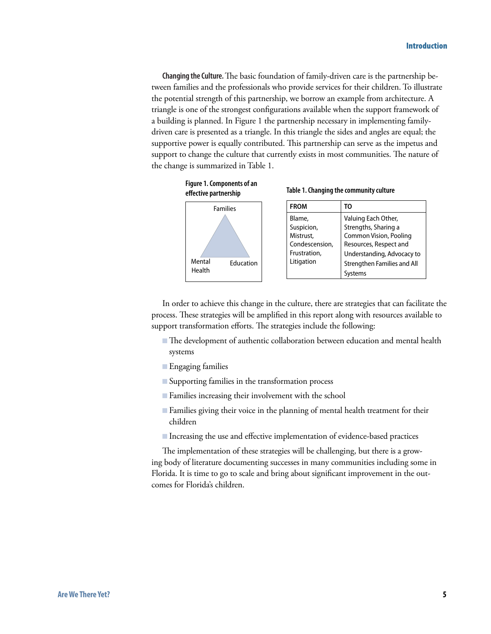**Changing the Culture.** The basic foundation of family-driven care is the partnership between families and the professionals who provide services for their children. To illustrate the potential strength of this partnership, we borrow an example from architecture. A triangle is one of the strongest configurations available when the support framework of a building is planned. In Figure 1 the partnership necessary in implementing familydriven care is presented as a triangle. In this triangle the sides and angles are equal; the supportive power is equally contributed. This partnership can serve as the impetus and support to change the culture that currently exists in most communities. The nature of the change is summarized in Table 1.



In order to achieve this change in the culture, there are strategies that can facilitate the process. These strategies will be amplified in this report along with resources available to support transformation efforts. The strategies include the following:

- The development of authentic collaboration between education and mental health systems
- **Engaging families**
- Supporting families in the transformation process
- Families increasing their involvement with the school
- Families giving their voice in the planning of mental health treatment for their B children
- Increasing the use and effective implementation of evidence-based practices

The implementation of these strategies will be challenging, but there is a growing body of literature documenting successes in many communities including some in Florida. It is time to go to scale and bring about significant improvement in the outcomes for Florida's children.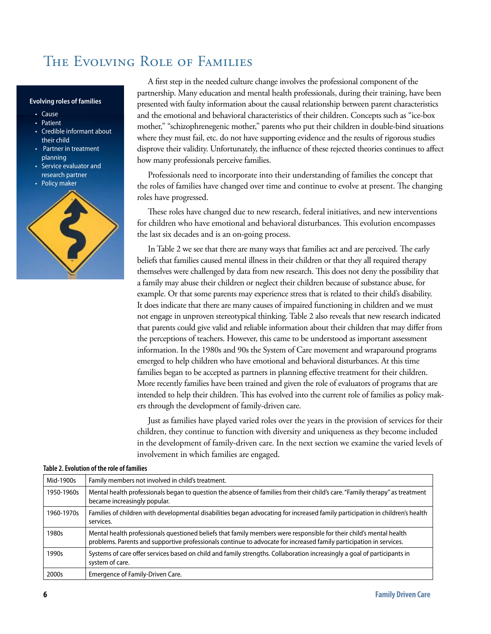## The Evolving Role of Families

#### **Evolving roles of families**

- Cause
- Patient
- Credible informant about their child
- Partner in treatment planning
- Service evaluator and research partner
- Policy maker



A first step in the needed culture change involves the professional component of the partnership. Many education and mental health professionals, during their training, have been presented with faulty information about the causal relationship between parent characteristics and the emotional and behavioral characteristics of their children. Concepts such as "ice-box mother," "schizophrenegenic mother," parents who put their children in double-bind situations where they must fail, etc. do not have supporting evidence and the results of rigorous studies disprove their validity. Unfortunately, the influence of these rejected theories continues to affect how many professionals perceive families.

Professionals need to incorporate into their understanding of families the concept that the roles of families have changed over time and continue to evolve at present. The changing roles have progressed.

These roles have changed due to new research, federal initiatives, and new interventions for children who have emotional and behavioral disturbances. This evolution encompasses the last six decades and is an on-going process.

In Table 2 we see that there are many ways that families act and are perceived. The early beliefs that families caused mental illness in their children or that they all required therapy themselves were challenged by data from new research. This does not deny the possibility that a family may abuse their children or neglect their children because of substance abuse, for example. Or that some parents may experience stress that is related to their child's disability. It does indicate that there are many causes of impaired functioning in children and we must not engage in unproven stereotypical thinking. Table 2 also reveals that new research indicated that parents could give valid and reliable information about their children that may differ from the perceptions of teachers. However, this came to be understood as important assessment information. In the 1980s and 90s the System of Care movement and wraparound programs emerged to help children who have emotional and behavioral disturbances. At this time families began to be accepted as partners in planning effective treatment for their children. More recently families have been trained and given the role of evaluators of programs that are intended to help their children. This has evolved into the current role of families as policy makers through the development of family-driven care.

Just as families have played varied roles over the years in the provision of services for their children, they continue to function with diversity and uniqueness as they become included in the development of family-driven care. In the next section we examine the varied levels of involvement in which families are engaged.

| Mid-1900s  | Family members not involved in child's treatment.                                                                                                                                                                                          |
|------------|--------------------------------------------------------------------------------------------------------------------------------------------------------------------------------------------------------------------------------------------|
| 1950-1960s | Mental health professionals began to question the absence of families from their child's care. "Family therapy" as treatment<br>became increasingly popular.                                                                               |
| 1960-1970s | Families of children with developmental disabilities began advocating for increased family participation in children's health<br>services.                                                                                                 |
| 1980s      | Mental health professionals questioned beliefs that family members were responsible for their child's mental health<br>problems. Parents and supportive professionals continue to advocate for increased family participation in services. |
| 1990s      | Systems of care offer services based on child and family strengths. Collaboration increasingly a goal of participants in<br>system of care.                                                                                                |
| 2000s      | Emergence of Family-Driven Care.                                                                                                                                                                                                           |

#### **Table 2. Evolution of the role of families**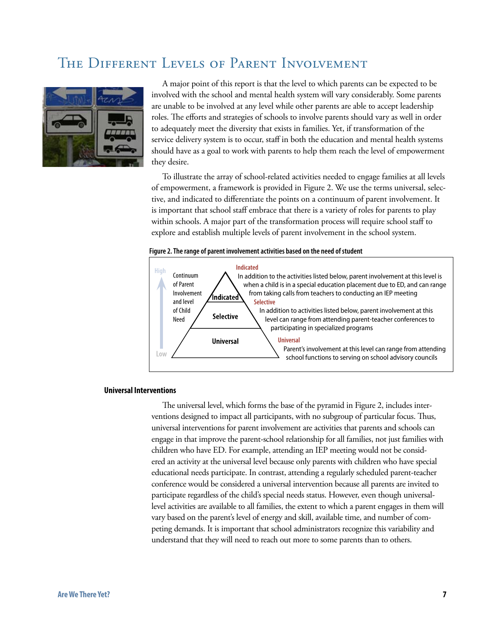## The Different Levels of Parent Involvement



A major point of this report is that the level to which parents can be expected to be involved with the school and mental health system will vary considerably. Some parents are unable to be involved at any level while other parents are able to accept leadership roles. The efforts and strategies of schools to involve parents should vary as well in order to adequately meet the diversity that exists in families. Yet, if transformation of the service delivery system is to occur, staff in both the education and mental health systems should have as a goal to work with parents to help them reach the level of empowerment they desire.

To illustrate the array of school-related activities needed to engage families at all levels of empowerment, a framework is provided in Figure 2. We use the terms universal, selective, and indicated to differentiate the points on a continuum of parent involvement. It is important that school staff embrace that there is a variety of roles for parents to play within schools. A major part of the transformation process will require school staff to explore and establish multiple levels of parent involvement in the school system.

#### **Figure 2. The range of parent involvement activities based on the need of student**



#### **Universal Interventions**

The universal level, which forms the base of the pyramid in Figure 2, includes interventions designed to impact all participants, with no subgroup of particular focus. Thus, universal interventions for parent involvement are activities that parents and schools can engage in that improve the parent-school relationship for all families, not just families with children who have ED. For example, attending an IEP meeting would not be considered an activity at the universal level because only parents with children who have special educational needs participate. In contrast, attending a regularly scheduled parent-teacher conference would be considered a universal intervention because all parents are invited to participate regardless of the child's special needs status. However, even though universallevel activities are available to all families, the extent to which a parent engages in them will vary based on the parent's level of energy and skill, available time, and number of competing demands. It is important that school administrators recognize this variability and understand that they will need to reach out more to some parents than to others.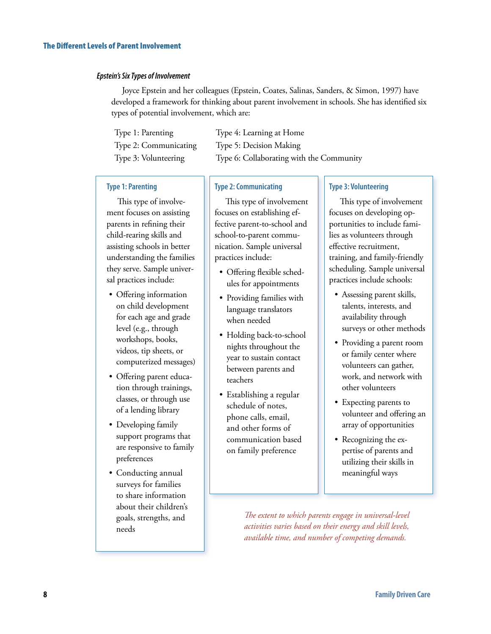#### *Epstein's Six Types of Involvement*

Joyce Epstein and her colleagues (Epstein, Coates, Salinas, Sanders, & Simon, 1997) have developed a framework for thinking about parent involvement in schools. She has identified six types of potential involvement, which are:

| Type 1: Parenting     | Type 4: Learning at Home                 |
|-----------------------|------------------------------------------|
| Type 2: Communicating | Type 5: Decision Making                  |
| Type 3: Volunteering  | Type 6: Collaborating with the Community |

#### **Type 1: Parenting**

This type of involvement focuses on assisting parents in refining their child-rearing skills and assisting schools in better understanding the families they serve. Sample universal practices include:

- Offering information on child development for each age and grade level (e.g., through workshops, books, videos, tip sheets, or computerized messages)
- Offering parent education through trainings, classes, or through use of a lending library
- Developing family support programs that are responsive to family preferences
- Conducting annual surveys for families to share information about their children's goals, strengths, and needs

#### **Type 2: Communicating**

This type of involvement focuses on establishing effective parent-to-school and school-to-parent communication. Sample universal practices include:

- Offering flexible schedules for appointments
- Providing families with language translators when needed
- Holding back-to-school nights throughout the year to sustain contact between parents and teachers
- Establishing a regular schedule of notes, phone calls, email, and other forms of communication based on family preference

#### **Type 3: Volunteering**

This type of involvement focuses on developing opportunities to include families as volunteers through effective recruitment, training, and family-friendly scheduling. Sample universal practices include schools:

- Assessing parent skills, talents, interests, and availability through surveys or other methods
- Providing a parent room or family center where volunteers can gather, work, and network with other volunteers
- Expecting parents to volunteer and offering an array of opportunities
- Recognizing the expertise of parents and utilizing their skills in meaningful ways

*The extent to which parents engage in universal-level activities varies based on their energy and skill levels, available time, and number of competing demands.*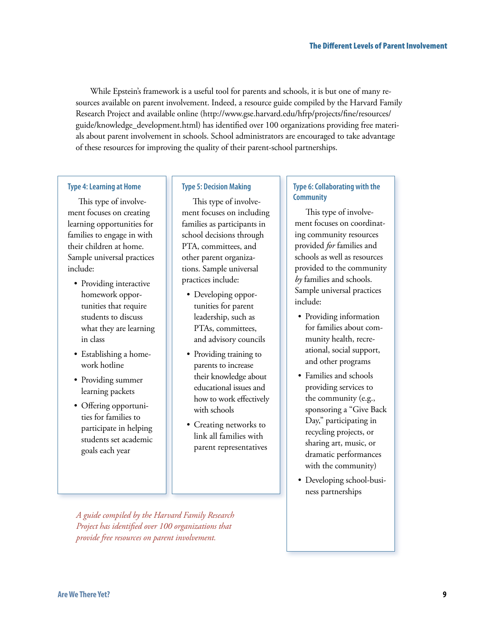While Epstein's framework is a useful tool for parents and schools, it is but one of many resources available on parent involvement. Indeed, a resource guide compiled by the Harvard Family Research Project and available online (http://www.gse.harvard.edu/hfrp/projects/fine/resources/ guide/knowledge\_development.html) has identified over 100 organizations providing free materials about parent involvement in schools. School administrators are encouraged to take advantage of these resources for improving the quality of their parent-school partnerships.

#### **Type 4: Learning at Home**

This type of involvement focuses on creating learning opportunities for families to engage in with their children at home. Sample universal practices include:

- Providing interactive homework opportunities that require students to discuss what they are learning in class
- Establishing a homework hotline
- Providing summer learning packets
- Offering opportunities for families to participate in helping students set academic goals each year

#### **Type 5: Decision Making**

This type of involvement focuses on including families as participants in school decisions through PTA, committees, and other parent organizations. Sample universal practices include:

- Developing opportunities for parent leadership, such as PTAs, committees, and advisory councils
- Providing training to parents to increase their knowledge about educational issues and how to work effectively with schools
- Creating networks to link all families with parent representatives

#### **Type 6: Collaborating with the Community**

This type of involvement focuses on coordinating community resources provided *for* families and schools as well as resources provided to the community *by* families and schools. Sample universal practices include:

- Providing information for families about community health, recreational, social support, and other programs
- Families and schools providing services to the community (e.g., sponsoring a "Give Back Day," participating in recycling projects, or sharing art, music, or dramatic performances with the community)
- Developing school-business partnerships

*A guide compiled by the Harvard Family Research Project has identified over 100 organizations that provide free resources on parent involvement.*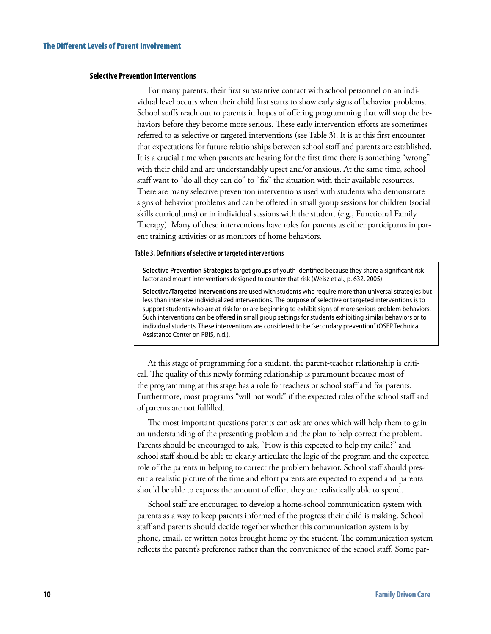#### **Selective Prevention Interventions**

For many parents, their first substantive contact with school personnel on an individual level occurs when their child first starts to show early signs of behavior problems. School staffs reach out to parents in hopes of offering programming that will stop the behaviors before they become more serious. These early intervention efforts are sometimes referred to as selective or targeted interventions (see Table 3). It is at this first encounter that expectations for future relationships between school staff and parents are established. It is a crucial time when parents are hearing for the first time there is something "wrong" with their child and are understandably upset and/or anxious. At the same time, school staff want to "do all they can do" to "fix" the situation with their available resources. There are many selective prevention interventions used with students who demonstrate signs of behavior problems and can be offered in small group sessions for children (social skills curriculums) or in individual sessions with the student (e.g., Functional Family Therapy). Many of these interventions have roles for parents as either participants in parent training activities or as monitors of home behaviors.

#### **Table 3. Definitions of selective or targeted interventions**

**Selective Prevention Strategies** target groups of youth identified because they share a significant risk factor and mount interventions designed to counter that risk (Weisz et al., p. 632, 2005)

**Selective/Targeted Interventions** are used with students who require more than universal strategies but less than intensive individualized interventions. The purpose of selective or targeted interventions is to support students who are at-risk for or are beginning to exhibit signs of more serious problem behaviors. Such interventions can be offered in small group settings for students exhibiting similar behaviors or to individual students. These interventions are considered to be "secondary prevention" (OSEP Technical Assistance Center on PBIS, n.d.).

At this stage of programming for a student, the parent-teacher relationship is critical. The quality of this newly forming relationship is paramount because most of the programming at this stage has a role for teachers or school staff and for parents. Furthermore, most programs "will not work" if the expected roles of the school staff and of parents are not fulfilled.

The most important questions parents can ask are ones which will help them to gain an understanding of the presenting problem and the plan to help correct the problem. Parents should be encouraged to ask, "How is this expected to help my child?" and school staff should be able to clearly articulate the logic of the program and the expected role of the parents in helping to correct the problem behavior. School staff should present a realistic picture of the time and effort parents are expected to expend and parents should be able to express the amount of effort they are realistically able to spend.

School staff are encouraged to develop a home-school communication system with parents as a way to keep parents informed of the progress their child is making. School staff and parents should decide together whether this communication system is by phone, email, or written notes brought home by the student. The communication system reflects the parent's preference rather than the convenience of the school staff. Some par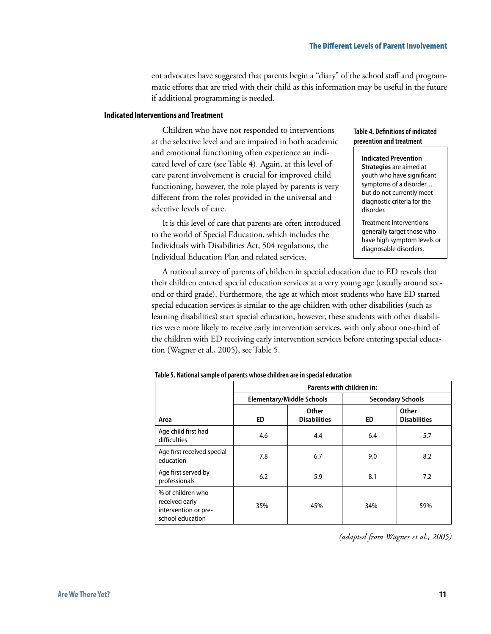ent advocates have suggested that parents begin a "diary" of the school staff and programmatic efforts that are tried with their child as this information may be useful in the future if additional programming is needed.

#### **Indicated Interventions and Treatment**

Children who have not responded to interventions at the selective level and are impaired in both academic and emotional functioning often experience an indicated level of care (see Table 4). Again, at this level of care parent involvement is crucial for improved child functioning, however, the role played by parents is very different from the roles provided in the universal and selective levels of care.

It is this level of care that parents are often introduced to the world of Special Education, which includes the Individuals with Disabilities Act, 504 regulations, the Individual Education Plan and related services.

#### **Table 4. Definitions of indicated prevention and treatment**

**Indicated Prevention Strategies** are aimed at youth who have significant symptoms of a disorder … but do not currently meet diagnostic criteria for the disorder.

Treatment Interventions generally target those who have high symptom levels or diagnosable disorders.

A national survey of parents of children in special education due to ED reveals that their children entered special education services at a very young age (usually around second or third grade). Furthermore, the age at which most students who have ED started special education services is similar to the age children with other disabilities (such as learning disabilities) start special education, however, these students with other disabilities were more likely to receive early intervention services, with only about one-third of the children with ED receiving early intervention services before entering special education (Wagner et al., 2005), see Table 5.

|                                                                                 | Parents with children in: |                                  |     |                              |
|---------------------------------------------------------------------------------|---------------------------|----------------------------------|-----|------------------------------|
|                                                                                 |                           | <b>Elementary/Middle Schools</b> |     | <b>Secondary Schools</b>     |
| Area                                                                            | ED                        | Other<br><b>Disabilities</b>     | ED  | Other<br><b>Disabilities</b> |
| Age child first had<br>difficulties                                             | 4.6                       | 4.4                              | 6.4 | 5.7                          |
| Age first received special<br>education                                         | 7.8                       | 6.7                              | 9.0 | 8.2                          |
| Age first served by<br>professionals                                            | 6.2                       | 5.9                              | 8.1 | 7.2                          |
| % of children who<br>received early<br>intervention or pre-<br>school education | 35%                       | 45%                              | 34% | 59%                          |

**Table 5. National sample of parents whose children are in special education** 

*(adapted from Wagner et al., 2005)*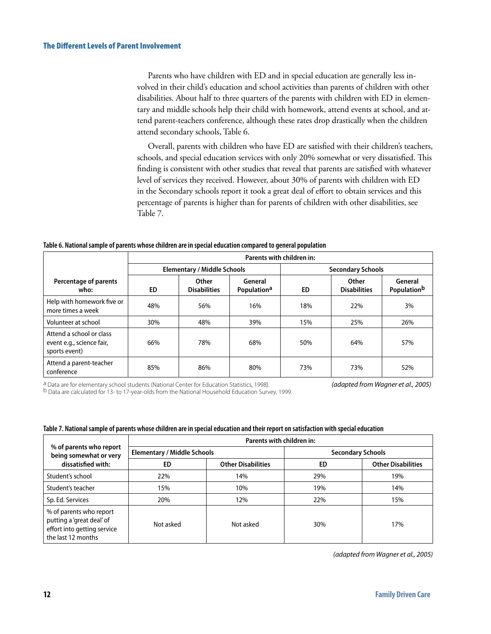Parents who have children with ED and in special education are generally less involved in their child's education and school activities than parents of children with other disabilities. About half to three quarters of the parents with children with ED in elementary and middle schools help their child with homework, attend events at school, and attend parent-teachers conference, although these rates drop drastically when the children attend secondary schools, Table 6.

Overall, parents with children who have ED are satisfied with their children's teachers, schools, and special education services with only 20% somewhat or very dissatisfied. This finding is consistent with other studies that reveal that parents are satisfied with whatever level of services they received. However, about 30% of parents with children with ED in the Secondary schools report it took a great deal of effort to obtain services and this percentage of parents is higher than for parents of children with other disabilities, see Table 7.

#### **Table 6. National sample of parents whose children are in special education compared to general population**

|                                                                        | Parents with children in: |                                    |                                    |                          |                                     |                                    |
|------------------------------------------------------------------------|---------------------------|------------------------------------|------------------------------------|--------------------------|-------------------------------------|------------------------------------|
|                                                                        |                           | <b>Elementary / Middle Schools</b> |                                    | <b>Secondary Schools</b> |                                     |                                    |
| Percentage of parents<br>who:                                          | ED.                       | Other<br><b>Disabilities</b>       | General<br>Population <sup>a</sup> | <b>ED</b>                | <b>Other</b><br><b>Disabilities</b> | General<br>Population <sup>b</sup> |
| Help with homework five or<br>more times a week                        | 48%                       | 56%                                | 16%                                | 18%                      | 22%                                 | 3%                                 |
| Volunteer at school                                                    | 30%                       | 48%                                | 39%                                | 15%                      | 25%                                 | 26%                                |
| Attend a school or class<br>event e.g., science fair,<br>sports event) | 66%                       | 78%                                | 68%                                | 50%                      | 64%                                 | 57%                                |
| Attend a parent-teacher<br>conference                                  | 85%                       | 86%                                | 80%                                | 73%                      | 73%                                 | 52%                                |

<sup>a</sup> Data are for elementary school students (National Center for Education Statistics, 1998). (**adapted from Wagner et al., 2005)**<br><sup>b</sup> Data are calculated for 13- to 17-year-olds from the National Household Education Surve

| Table 7. National sample of parents whose children are in special education and their report on satisfaction with special education |  |  |
|-------------------------------------------------------------------------------------------------------------------------------------|--|--|
|                                                                                                                                     |  |  |

|                                                                                                           | Parents with children in:          |                           |                          |                           |  |
|-----------------------------------------------------------------------------------------------------------|------------------------------------|---------------------------|--------------------------|---------------------------|--|
| % of parents who report<br>being somewhat or very                                                         | <b>Elementary / Middle Schools</b> |                           | <b>Secondary Schools</b> |                           |  |
| dissatisfied with:                                                                                        | ED                                 | <b>Other Disabilities</b> | ED                       | <b>Other Disabilities</b> |  |
| Student's school                                                                                          | 22%                                | 14%                       | 29%                      | 19%                       |  |
| Student's teacher                                                                                         | 15%                                | 10%                       | 19%                      | 14%                       |  |
| Sp. Ed. Services                                                                                          | 20%                                | 12%                       | 22%                      | 15%                       |  |
| % of parents who report<br>putting a 'great deal' of<br>effort into getting service<br>the last 12 months | Not asked                          | Not asked                 | 30%                      | 17%                       |  |

*(adapted from Wagner et al., 2005)*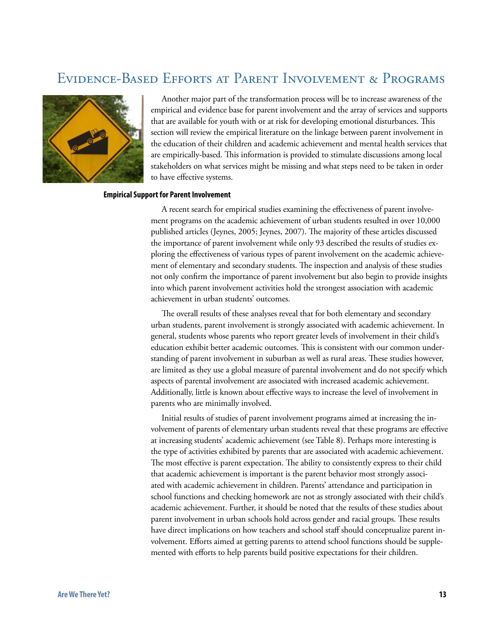## Evidence-Based Efforts at Parent Involvement & Programs



Another major part of the transformation process will be to increase awareness of the empirical and evidence base for parent involvement and the array of services and supports that are available for youth with or at risk for developing emotional disturbances. This section will review the empirical literature on the linkage between parent involvement in the education of their children and academic achievement and mental health services that are empirically-based. This information is provided to stimulate discussions among local stakeholders on what services might be missing and what steps need to be taken in order to have effective systems.

#### **Empirical Support for Parent Involvement**

A recent search for empirical studies examining the effectiveness of parent involvement programs on the academic achievement of urban students resulted in over 10,000 published articles (Jeynes, 2005; Jeynes, 2007). The majority of these articles discussed the importance of parent involvement while only 93 described the results of studies exploring the effectiveness of various types of parent involvement on the academic achievement of elementary and secondary students. The inspection and analysis of these studies not only confirm the importance of parent involvement but also begin to provide insights into which parent involvement activities hold the strongest association with academic achievement in urban students' outcomes.

The overall results of these analyses reveal that for both elementary and secondary urban students, parent involvement is strongly associated with academic achievement. In general, students whose parents who report greater levels of involvement in their child's education exhibit better academic outcomes. This is consistent with our common understanding of parent involvement in suburban as well as rural areas. These studies however, are limited as they use a global measure of parental involvement and do not specify which aspects of parental involvement are associated with increased academic achievement. Additionally, little is known about effective ways to increase the level of involvement in parents who are minimally involved.

Initial results of studies of parent involvement programs aimed at increasing the involvement of parents of elementary urban students reveal that these programs are effective at increasing students' academic achievement (see Table 8). Perhaps more interesting is the type of activities exhibited by parents that are associated with academic achievement. The most effective is parent expectation. The ability to consistently express to their child that academic achievement is important is the parent behavior most strongly associated with academic achievement in children. Parents' attendance and participation in school functions and checking homework are not as strongly associated with their child's academic achievement. Further, it should be noted that the results of these studies about parent involvement in urban schools hold across gender and racial groups. These results have direct implications on how teachers and school staff should conceptualize parent involvement. Efforts aimed at getting parents to attend school functions should be supplemented with efforts to help parents build positive expectations for their children.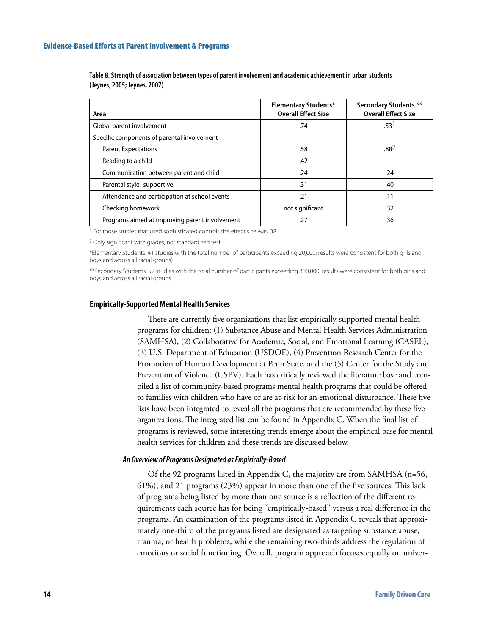| Area                                           | <b>Elementary Students*</b><br><b>Overall Effect Size</b> | <b>Secondary Students **</b><br><b>Overall Effect Size</b> |
|------------------------------------------------|-----------------------------------------------------------|------------------------------------------------------------|
| Global parent involvement                      | .74                                                       | .53 <sup>1</sup>                                           |
| Specific components of parental involvement    |                                                           |                                                            |
| <b>Parent Expectations</b>                     | .58                                                       | .88 <sup>2</sup>                                           |
| Reading to a child                             | .42                                                       |                                                            |
| Communication between parent and child         | .24                                                       | .24                                                        |
| Parental style-supportive                      | .31                                                       | .40                                                        |
| Attendance and participation at school events  | .21                                                       | .11                                                        |
| Checking homework                              | not significant                                           | .32                                                        |
| Programs aimed at improving parent involvement | .27                                                       | .36                                                        |

**Table 8. Strength of association between types of parent involvement and academic achievement in urban students (Jeynes, 2005; Jeynes, 2007)**

1 For those studies that used sophisticated controls the effect size was .38

2 Only significant with grades, not standardized test

\*Elementary Students: 41 studies with the total number of participants exceeding 20,000; results were consistent for both girls and boys and across all racial groups)

\*\*Secondary Students: 52 studies with the total number of participants exceeding 300,000; results were consistent for both girls and boys and across all racial groups

#### **Empirically-Supported Mental Health Services**

There are currently five organizations that list empirically-supported mental health programs for children: (1) Substance Abuse and Mental Health Services Administration (SAMHSA), (2) Collaborative for Academic, Social, and Emotional Learning (CASEL), (3) U.S. Department of Education (USDOE), (4) Prevention Research Center for the Promotion of Human Development at Penn State, and the (5) Center for the Study and Prevention of Violence (CSPV). Each has critically reviewed the literature base and compiled a list of community-based programs mental health programs that could be offered to families with children who have or are at-risk for an emotional disturbance. These five lists have been integrated to reveal all the programs that are recommended by these five organizations. The integrated list can be found in Appendix C. When the final list of programs is reviewed, some interesting trends emerge about the empirical base for mental health services for children and these trends are discussed below.

#### *An Overview of Programs Designated as Empirically-Based*

Of the 92 programs listed in Appendix C, the majority are from SAMHSA (n=56, 61%), and 21 programs (23%) appear in more than one of the five sources. This lack of programs being listed by more than one source is a reflection of the different requirements each source has for being "empirically-based" versus a real difference in the programs. An examination of the programs listed in Appendix C reveals that approximately one-third of the programs listed are designated as targeting substance abuse, trauma, or health problems, while the remaining two-thirds address the regulation of emotions or social functioning. Overall, program approach focuses equally on univer-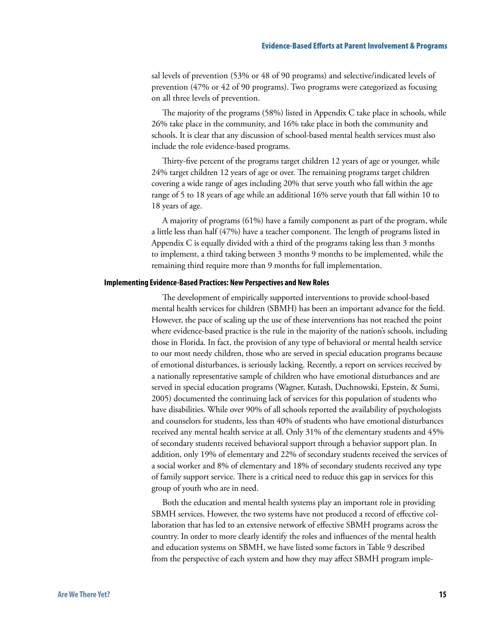#### Evidence-Based Efforts at Parent Involvement & Programs

sal levels of prevention (53% or 48 of 90 programs) and selective/indicated levels of prevention (47% or 42 of 90 programs). Two programs were categorized as focusing on all three levels of prevention.

The majority of the programs (58%) listed in Appendix C take place in schools, while 26% take place in the community, and 16% take place in both the community and schools. It is clear that any discussion of school-based mental health services must also include the role evidence-based programs.

Thirty-five percent of the programs target children 12 years of age or younger, while 24% target children 12 years of age or over. The remaining programs target children covering a wide range of ages including 20% that serve youth who fall within the age range of 5 to 18 years of age while an additional 16% serve youth that fall within 10 to 18 years of age.

A majority of programs (61%) have a family component as part of the program, while a little less than half (47%) have a teacher component. The length of programs listed in Appendix C is equally divided with a third of the programs taking less than 3 months to implement, a third taking between 3 months 9 months to be implemented, while the remaining third require more than 9 months for full implementation.

#### **Implementing Evidence-Based Practices: New Perspectives and New Roles**

The development of empirically supported interventions to provide school-based mental health services for children (SBMH) has been an important advance for the field. However, the pace of scaling up the use of these interventions has not reached the point where evidence-based practice is the rule in the majority of the nation's schools, including those in Florida. In fact, the provision of any type of behavioral or mental health service to our most needy children, those who are served in special education programs because of emotional disturbances, is seriously lacking. Recently, a report on services received by a nationally representative sample of children who have emotional disturbances and are served in special education programs (Wagner, Kutash, Duchnowski, Epstein, & Sumi, 2005) documented the continuing lack of services for this population of students who have disabilities. While over 90% of all schools reported the availability of psychologists and counselors for students, less than 40% of students who have emotional disturbances received any mental health service at all. Only 31% of the elementary students and 45% of secondary students received behavioral support through a behavior support plan. In addition, only 19% of elementary and 22% of secondary students received the services of a social worker and 8% of elementary and 18% of secondary students received any type of family support service. There is a critical need to reduce this gap in services for this group of youth who are in need.

Both the education and mental health systems play an important role in providing SBMH services. However, the two systems have not produced a record of effective collaboration that has led to an extensive network of effective SBMH programs across the country. In order to more clearly identify the roles and influences of the mental health and education systems on SBMH, we have listed some factors in Table 9 described from the perspective of each system and how they may affect SBMH program imple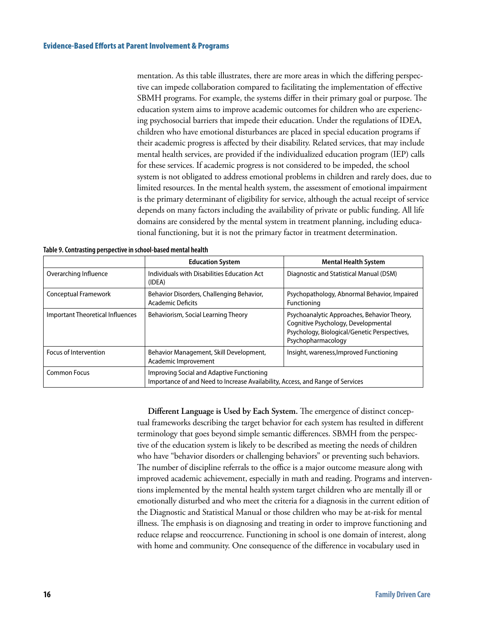mentation. As this table illustrates, there are more areas in which the differing perspective can impede collaboration compared to facilitating the implementation of effective SBMH programs. For example, the systems differ in their primary goal or purpose. The education system aims to improve academic outcomes for children who are experiencing psychosocial barriers that impede their education. Under the regulations of IDEA, children who have emotional disturbances are placed in special education programs if their academic progress is affected by their disability. Related services, that may include mental health services, are provided if the individualized education program (IEP) calls for these services. If academic progress is not considered to be impeded, the school system is not obligated to address emotional problems in children and rarely does, due to limited resources. In the mental health system, the assessment of emotional impairment is the primary determinant of eligibility for service, although the actual receipt of service depends on many factors including the availability of private or public funding. All life domains are considered by the mental system in treatment planning, including educational functioning, but it is not the primary factor in treatment determination.

|                                  | <b>Education System</b>                                                                                                     | <b>Mental Health System</b>                                                                                                                              |  |
|----------------------------------|-----------------------------------------------------------------------------------------------------------------------------|----------------------------------------------------------------------------------------------------------------------------------------------------------|--|
| Overarching Influence            | Individuals with Disabilities Education Act<br>(IDEA)                                                                       | Diagnostic and Statistical Manual (DSM)                                                                                                                  |  |
| Conceptual Framework             | Behavior Disorders, Challenging Behavior,<br><b>Academic Deficits</b>                                                       | Psychopathology, Abnormal Behavior, Impaired<br>Functioning                                                                                              |  |
| Important Theoretical Influences | Behaviorism, Social Learning Theory                                                                                         | Psychoanalytic Approaches, Behavior Theory,<br>Cognitive Psychology, Developmental<br>Psychology, Biological/Genetic Perspectives,<br>Psychopharmacology |  |
| Focus of Intervention            | Behavior Management, Skill Development,<br>Academic Improvement                                                             | Insight, wareness, Improved Functioning                                                                                                                  |  |
| <b>Common Focus</b>              | Improving Social and Adaptive Functioning<br>Importance of and Need to Increase Availability, Access, and Range of Services |                                                                                                                                                          |  |

**Different Language is Used by Each System.** The emergence of distinct conceptual frameworks describing the target behavior for each system has resulted in different terminology that goes beyond simple semantic differences. SBMH from the perspective of the education system is likely to be described as meeting the needs of children who have "behavior disorders or challenging behaviors" or preventing such behaviors. The number of discipline referrals to the office is a major outcome measure along with improved academic achievement, especially in math and reading. Programs and interventions implemented by the mental health system target children who are mentally ill or emotionally disturbed and who meet the criteria for a diagnosis in the current edition of the Diagnostic and Statistical Manual or those children who may be at-risk for mental illness. The emphasis is on diagnosing and treating in order to improve functioning and reduce relapse and reoccurrence. Functioning in school is one domain of interest, along with home and community. One consequence of the difference in vocabulary used in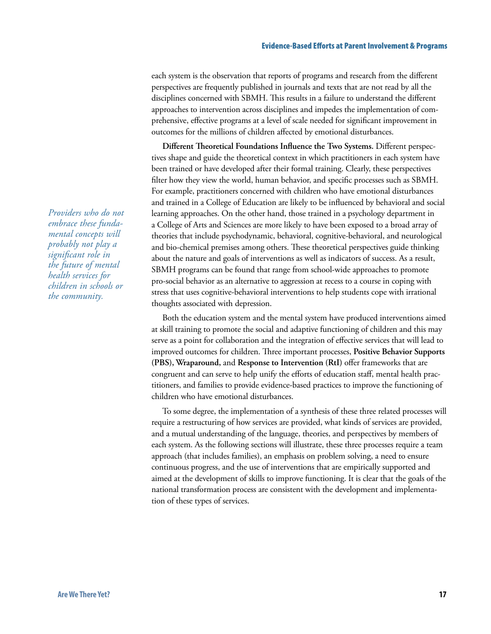each system is the observation that reports of programs and research from the different perspectives are frequently published in journals and texts that are not read by all the disciplines concerned with SBMH. This results in a failure to understand the different approaches to intervention across disciplines and impedes the implementation of comprehensive, effective programs at a level of scale needed for significant improvement in outcomes for the millions of children affected by emotional disturbances.

**Different Theoretical Foundations Influence the Two Systems.** Different perspectives shape and guide the theoretical context in which practitioners in each system have been trained or have developed after their formal training. Clearly, these perspectives filter how they view the world, human behavior, and specific processes such as SBMH. For example, practitioners concerned with children who have emotional disturbances and trained in a College of Education are likely to be influenced by behavioral and social learning approaches. On the other hand, those trained in a psychology department in a College of Arts and Sciences are more likely to have been exposed to a broad array of theories that include psychodynamic, behavioral, cognitive-behavioral, and neurological and bio-chemical premises among others. These theoretical perspectives guide thinking about the nature and goals of interventions as well as indicators of success. As a result, SBMH programs can be found that range from school-wide approaches to promote pro-social behavior as an alternative to aggression at recess to a course in coping with stress that uses cognitive-behavioral interventions to help students cope with irrational thoughts associated with depression.

Both the education system and the mental system have produced interventions aimed at skill training to promote the social and adaptive functioning of children and this may serve as a point for collaboration and the integration of effective services that will lead to improved outcomes for children. Three important processes, **Positive Behavior Supports (PBS), Wraparound,** and **Response to Intervention (RtI)** offer frameworks that are congruent and can serve to help unify the efforts of education staff, mental health practitioners, and families to provide evidence-based practices to improve the functioning of children who have emotional disturbances.

To some degree, the implementation of a synthesis of these three related processes will require a restructuring of how services are provided, what kinds of services are provided, and a mutual understanding of the language, theories, and perspectives by members of each system. As the following sections will illustrate, these three processes require a team approach (that includes families), an emphasis on problem solving, a need to ensure continuous progress, and the use of interventions that are empirically supported and aimed at the development of skills to improve functioning. It is clear that the goals of the national transformation process are consistent with the development and implementation of these types of services.

*Providers who do not embrace these fundamental concepts will probably not play a significant role in the future of mental health services for children in schools or the community.*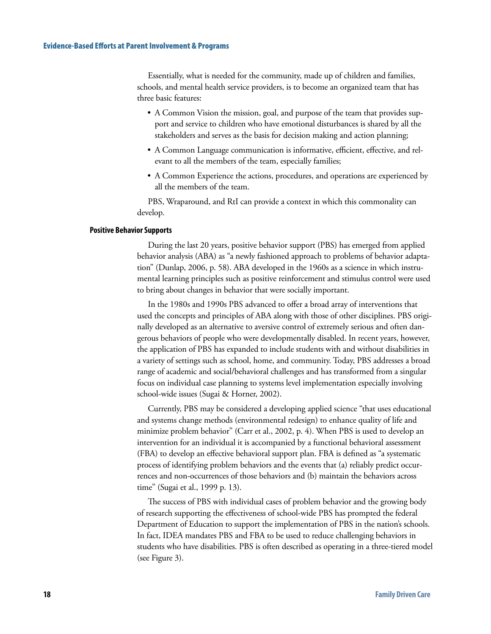#### Evidence-Based Efforts at Parent Involvement & Programs

Essentially, what is needed for the community, made up of children and families, schools, and mental health service providers, is to become an organized team that has three basic features:

- A Common Vision the mission, goal, and purpose of the team that provides support and service to children who have emotional disturbances is shared by all the stakeholders and serves as the basis for decision making and action planning;
- A Common Language communication is informative, efficient, effective, and relevant to all the members of the team, especially families;
- A Common Experience the actions, procedures, and operations are experienced by all the members of the team.

PBS, Wraparound, and RtI can provide a context in which this commonality can develop.

#### **Positive Behavior Supports**

During the last 20 years, positive behavior support (PBS) has emerged from applied behavior analysis (ABA) as "a newly fashioned approach to problems of behavior adaptation" (Dunlap, 2006, p. 58). ABA developed in the 1960s as a science in which instrumental learning principles such as positive reinforcement and stimulus control were used to bring about changes in behavior that were socially important.

In the 1980s and 1990s PBS advanced to offer a broad array of interventions that used the concepts and principles of ABA along with those of other disciplines. PBS originally developed as an alternative to aversive control of extremely serious and often dangerous behaviors of people who were developmentally disabled. In recent years, however, the application of PBS has expanded to include students with and without disabilities in a variety of settings such as school, home, and community. Today, PBS addresses a broad range of academic and social/behavioral challenges and has transformed from a singular focus on individual case planning to systems level implementation especially involving school-wide issues (Sugai & Horner, 2002).

Currently, PBS may be considered a developing applied science "that uses educational and systems change methods (environmental redesign) to enhance quality of life and minimize problem behavior" (Carr et al., 2002, p. 4). When PBS is used to develop an intervention for an individual it is accompanied by a functional behavioral assessment (FBA) to develop an effective behavioral support plan. FBA is defined as "a systematic process of identifying problem behaviors and the events that (a) reliably predict occurrences and non-occurrences of those behaviors and (b) maintain the behaviors across time" (Sugai et al., 1999 p. 13).

The success of PBS with individual cases of problem behavior and the growing body of research supporting the effectiveness of school-wide PBS has prompted the federal Department of Education to support the implementation of PBS in the nation's schools. In fact, IDEA mandates PBS and FBA to be used to reduce challenging behaviors in students who have disabilities. PBS is often described as operating in a three-tiered model (see Figure 3).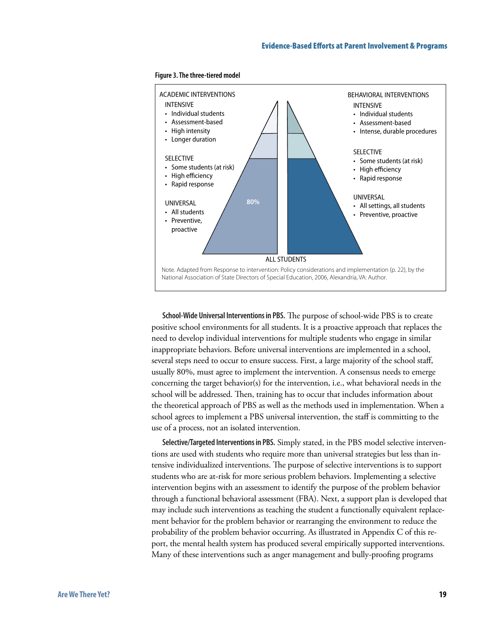



**School-Wide Universal Interventions in PBS.** The purpose of school-wide PBS is to create positive school environments for all students. It is a proactive approach that replaces the need to develop individual interventions for multiple students who engage in similar inappropriate behaviors. Before universal interventions are implemented in a school, several steps need to occur to ensure success. First, a large majority of the school staff, usually 80%, must agree to implement the intervention. A consensus needs to emerge concerning the target behavior(s) for the intervention, i.e., what behavioral needs in the school will be addressed. Then, training has to occur that includes information about the theoretical approach of PBS as well as the methods used in implementation. When a school agrees to implement a PBS universal intervention, the staff is committing to the use of a process, not an isolated intervention.

**Selective/Targeted Interventions in PBS.** Simply stated, in the PBS model selective interventions are used with students who require more than universal strategies but less than intensive individualized interventions. The purpose of selective interventions is to support students who are at-risk for more serious problem behaviors. Implementing a selective intervention begins with an assessment to identify the purpose of the problem behavior through a functional behavioral assessment (FBA). Next, a support plan is developed that may include such interventions as teaching the student a functionally equivalent replacement behavior for the problem behavior or rearranging the environment to reduce the probability of the problem behavior occurring. As illustrated in Appendix C of this report, the mental health system has produced several empirically supported interventions. Many of these interventions such as anger management and bully-proofing programs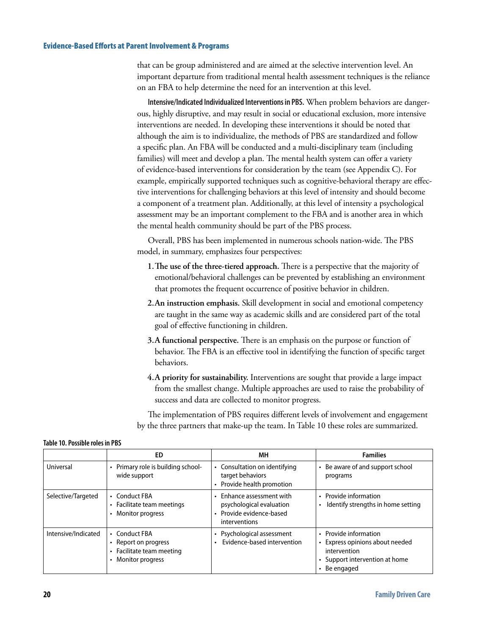#### Evidence-Based Efforts at Parent Involvement & Programs

that can be group administered and are aimed at the selective intervention level. An important departure from traditional mental health assessment techniques is the reliance on an FBA to help determine the need for an intervention at this level.

**Intensive/Indicated Individualized Interventions in PBS.** When problem behaviors are dangerous, highly disruptive, and may result in social or educational exclusion, more intensive interventions are needed. In developing these interventions it should be noted that although the aim is to individualize, the methods of PBS are standardized and follow a specific plan. An FBA will be conducted and a multi-disciplinary team (including families) will meet and develop a plan. The mental health system can offer a variety of evidence-based interventions for consideration by the team (see Appendix C). For example, empirically supported techniques such as cognitive-behavioral therapy are effective interventions for challenging behaviors at this level of intensity and should become a component of a treatment plan. Additionally, at this level of intensity a psychological assessment may be an important complement to the FBA and is another area in which the mental health community should be part of the PBS process.

Overall, PBS has been implemented in numerous schools nation-wide. The PBS model, in summary, emphasizes four perspectives:

- **1.The use of the three-tiered approach.** There is a perspective that the majority of emotional/behavioral challenges can be prevented by establishing an environment that promotes the frequent occurrence of positive behavior in children.
- **2.An instruction emphasis.** Skill development in social and emotional competency are taught in the same way as academic skills and are considered part of the total goal of effective functioning in children.
- **3.A functional perspective.** There is an emphasis on the purpose or function of behavior. The FBA is an effective tool in identifying the function of specific target behaviors.
- **4.A priority for sustainability.** Interventions are sought that provide a large impact from the smallest change. Multiple approaches are used to raise the probability of success and data are collected to monitor progress.

The implementation of PBS requires different levels of involvement and engagement by the three partners that make-up the team. In Table 10 these roles are summarized.

|                     | ED                                                                                       | MН                                                                                                 | <b>Families</b>                                                                                                            |
|---------------------|------------------------------------------------------------------------------------------|----------------------------------------------------------------------------------------------------|----------------------------------------------------------------------------------------------------------------------------|
| Universal           | • Primary role is building school-<br>wide support                                       | • Consultation on identifying<br>target behaviors<br>• Provide health promotion                    | • Be aware of and support school<br>programs                                                                               |
| Selective/Targeted  | • Conduct FBA<br>• Facilitate team meetings<br>• Monitor progress                        | • Enhance assessment with<br>psychological evaluation<br>· Provide evidence-based<br>interventions | • Provide information<br>Identify strengths in home setting                                                                |
| Intensive/Indicated | • Conduct FBA<br>• Report on progress<br>• Facilitate team meeting<br>• Monitor progress | • Psychological assessment<br>Evidence-based intervention                                          | • Provide information<br>• Express opinions about needed<br>intervention<br>• Support intervention at home<br>• Be engaged |

#### **Table 10. Possible roles in PBS**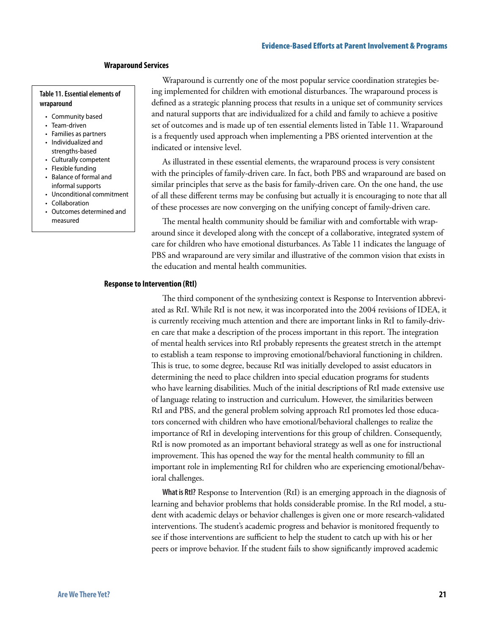#### **Wraparound Services**

#### **Table 11. Essential elements of wraparound**

- Community based
- Team-driven
- Families as partners
- Individualized and strengths-based
- Culturally competent
- Flexible funding
- Balance of formal and informal supports
- Unconditional commitment
- Collaboration
- Outcomes determined and measured

Wraparound is currently one of the most popular service coordination strategies being implemented for children with emotional disturbances. The wraparound process is defined as a strategic planning process that results in a unique set of community services and natural supports that are individualized for a child and family to achieve a positive set of outcomes and is made up of ten essential elements listed in Table 11. Wraparound is a frequently used approach when implementing a PBS oriented intervention at the indicated or intensive level.

As illustrated in these essential elements, the wraparound process is very consistent with the principles of family-driven care. In fact, both PBS and wraparound are based on similar principles that serve as the basis for family-driven care. On the one hand, the use of all these different terms may be confusing but actually it is encouraging to note that all of these processes are now converging on the unifying concept of family-driven care.

The mental health community should be familiar with and comfortable with wraparound since it developed along with the concept of a collaborative, integrated system of care for children who have emotional disturbances. As Table 11 indicates the language of PBS and wraparound are very similar and illustrative of the common vision that exists in the education and mental health communities.

#### **Response to Intervention (RtI)**

The third component of the synthesizing context is Response to Intervention abbreviated as RtI. While RtI is not new, it was incorporated into the 2004 revisions of IDEA, it is currently receiving much attention and there are important links in RtI to family-driven care that make a description of the process important in this report. The integration of mental health services into RtI probably represents the greatest stretch in the attempt to establish a team response to improving emotional/behavioral functioning in children. This is true, to some degree, because RtI was initially developed to assist educators in determining the need to place children into special education programs for students who have learning disabilities. Much of the initial descriptions of RtI made extensive use of language relating to instruction and curriculum. However, the similarities between RtI and PBS, and the general problem solving approach RtI promotes led those educators concerned with children who have emotional/behavioral challenges to realize the importance of RtI in developing interventions for this group of children. Consequently, RtI is now promoted as an important behavioral strategy as well as one for instructional improvement. This has opened the way for the mental health community to fill an important role in implementing RtI for children who are experiencing emotional/behavioral challenges.

**What is RtI?** Response to Intervention (RtI) is an emerging approach in the diagnosis of learning and behavior problems that holds considerable promise. In the RtI model, a student with academic delays or behavior challenges is given one or more research-validated interventions. The student's academic progress and behavior is monitored frequently to see if those interventions are sufficient to help the student to catch up with his or her peers or improve behavior. If the student fails to show significantly improved academic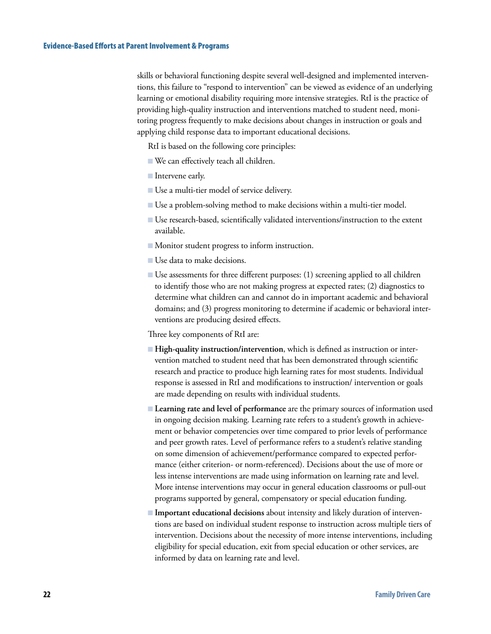skills or behavioral functioning despite several well-designed and implemented interventions, this failure to "respond to intervention" can be viewed as evidence of an underlying learning or emotional disability requiring more intensive strategies. RtI is the practice of providing high-quality instruction and interventions matched to student need, monitoring progress frequently to make decisions about changes in instruction or goals and applying child response data to important educational decisions.

RtI is based on the following core principles:

- We can effectively teach all children. B
- **Intervene early.**
- Use a multi-tier model of service delivery.
- Use a problem-solving method to make decisions within a multi-tier model. B
- Use research-based, scientifically validated interventions/instruction to the extent available.
- $\blacksquare$  Monitor student progress to inform instruction.
- Use data to make decisions.
- Use assessments for three different purposes: (1) screening applied to all children to identify those who are not making progress at expected rates; (2) diagnostics to determine what children can and cannot do in important academic and behavioral domains; and (3) progress monitoring to determine if academic or behavioral interventions are producing desired effects.

Three key components of RtI are:

- **High-quality instruction/intervention**, which is defined as instruction or intervention matched to student need that has been demonstrated through scientific research and practice to produce high learning rates for most students. Individual response is assessed in RtI and modifications to instruction/ intervention or goals are made depending on results with individual students.
- **Learning rate and level of performance** are the primary sources of information used in ongoing decision making. Learning rate refers to a student's growth in achievement or behavior competencies over time compared to prior levels of performance and peer growth rates. Level of performance refers to a student's relative standing on some dimension of achievement/performance compared to expected performance (either criterion- or norm-referenced). Decisions about the use of more or less intense interventions are made using information on learning rate and level. More intense interventions may occur in general education classrooms or pull-out programs supported by general, compensatory or special education funding.
- **Important educational decisions** about intensity and likely duration of interven-B tions are based on individual student response to instruction across multiple tiers of intervention. Decisions about the necessity of more intense interventions, including eligibility for special education, exit from special education or other services, are informed by data on learning rate and level.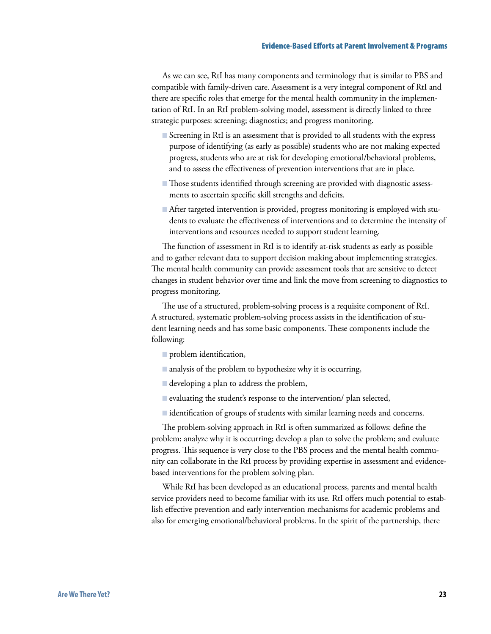As we can see, RtI has many components and terminology that is similar to PBS and compatible with family-driven care. Assessment is a very integral component of RtI and there are specific roles that emerge for the mental health community in the implementation of RtI. In an RtI problem-solving model, assessment is directly linked to three strategic purposes: screening; diagnostics; and progress monitoring.

- Screening in RtI is an assessment that is provided to all students with the express purpose of identifying (as early as possible) students who are not making expected progress, students who are at risk for developing emotional/behavioral problems, and to assess the effectiveness of prevention interventions that are in place.
- Those students identified through screening are provided with diagnostic assessments to ascertain specific skill strengths and deficits.
- After targeted intervention is provided, progress monitoring is employed with stu-B dents to evaluate the effectiveness of interventions and to determine the intensity of interventions and resources needed to support student learning.

The function of assessment in RtI is to identify at-risk students as early as possible and to gather relevant data to support decision making about implementing strategies. The mental health community can provide assessment tools that are sensitive to detect changes in student behavior over time and link the move from screening to diagnostics to progress monitoring.

The use of a structured, problem-solving process is a requisite component of RtI. A structured, systematic problem-solving process assists in the identification of student learning needs and has some basic components. These components include the following:

- **problem** identification,
- $\blacksquare$  analysis of the problem to hypothesize why it is occurring,
- developing a plan to address the problem, B
- E evaluating the student's response to the intervention/ plan selected,
- identification of groups of students with similar learning needs and concerns.

The problem-solving approach in RtI is often summarized as follows: define the problem; analyze why it is occurring; develop a plan to solve the problem; and evaluate progress. This sequence is very close to the PBS process and the mental health community can collaborate in the RtI process by providing expertise in assessment and evidencebased interventions for the problem solving plan.

While RtI has been developed as an educational process, parents and mental health service providers need to become familiar with its use. RtI offers much potential to establish effective prevention and early intervention mechanisms for academic problems and also for emerging emotional/behavioral problems. In the spirit of the partnership, there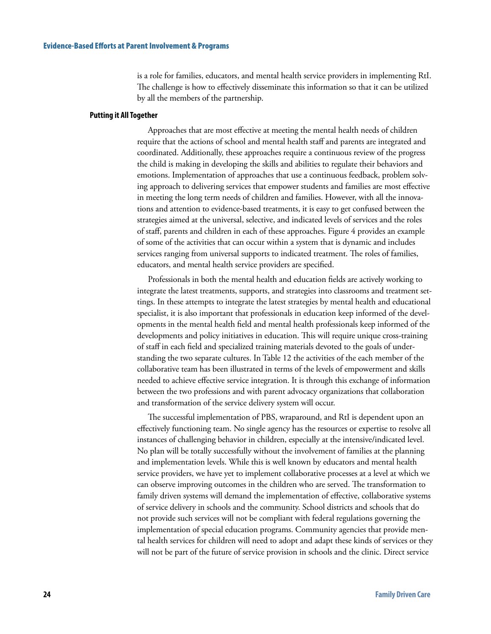is a role for families, educators, and mental health service providers in implementing RtI. The challenge is how to effectively disseminate this information so that it can be utilized by all the members of the partnership.

#### **Putting it All Together**

Approaches that are most effective at meeting the mental health needs of children require that the actions of school and mental health staff and parents are integrated and coordinated. Additionally, these approaches require a continuous review of the progress the child is making in developing the skills and abilities to regulate their behaviors and emotions. Implementation of approaches that use a continuous feedback, problem solving approach to delivering services that empower students and families are most effective in meeting the long term needs of children and families. However, with all the innovations and attention to evidence-based treatments, it is easy to get confused between the strategies aimed at the universal, selective, and indicated levels of services and the roles of staff, parents and children in each of these approaches. Figure 4 provides an example of some of the activities that can occur within a system that is dynamic and includes services ranging from universal supports to indicated treatment. The roles of families, educators, and mental health service providers are specified.

Professionals in both the mental health and education fields are actively working to integrate the latest treatments, supports, and strategies into classrooms and treatment settings. In these attempts to integrate the latest strategies by mental health and educational specialist, it is also important that professionals in education keep informed of the developments in the mental health field and mental health professionals keep informed of the developments and policy initiatives in education. This will require unique cross-training of staff in each field and specialized training materials devoted to the goals of understanding the two separate cultures. In Table 12 the activities of the each member of the collaborative team has been illustrated in terms of the levels of empowerment and skills needed to achieve effective service integration. It is through this exchange of information between the two professions and with parent advocacy organizations that collaboration and transformation of the service delivery system will occur.

The successful implementation of PBS, wraparound, and RtI is dependent upon an effectively functioning team. No single agency has the resources or expertise to resolve all instances of challenging behavior in children, especially at the intensive/indicated level. No plan will be totally successfully without the involvement of families at the planning and implementation levels. While this is well known by educators and mental health service providers, we have yet to implement collaborative processes at a level at which we can observe improving outcomes in the children who are served. The transformation to family driven systems will demand the implementation of effective, collaborative systems of service delivery in schools and the community. School districts and schools that do not provide such services will not be compliant with federal regulations governing the implementation of special education programs. Community agencies that provide mental health services for children will need to adopt and adapt these kinds of services or they will not be part of the future of service provision in schools and the clinic. Direct service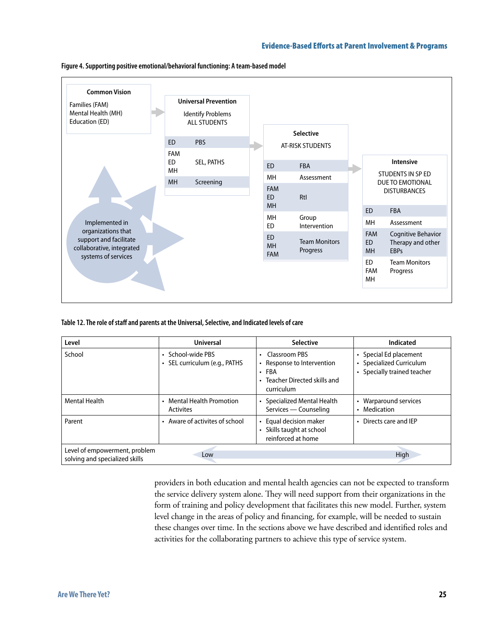

**Figure 4. Supporting positive emotional/behavioral functioning: A team-based model**

**Table 12. The role of staff and parents at the Universal, Selective, and Indicated levels of care**

| Level                                                           | <b>Universal</b>                                   | <b>Selective</b>                                                                                                | Indicated                                                                         |
|-----------------------------------------------------------------|----------------------------------------------------|-----------------------------------------------------------------------------------------------------------------|-----------------------------------------------------------------------------------|
| School                                                          | • School-wide PBS<br>· SEL curriculum (e.g., PATHS | Classroom PBS<br>٠<br>Response to Intervention<br>FBA<br>$\bullet$<br>Teacher Directed skills and<br>curriculum | • Special Ed placement<br>• Specialized Curriculum<br>• Specially trained teacher |
| <b>Mental Health</b>                                            | • Mental Health Promotion<br><b>Activites</b>      | Specialized Mental Health<br>Services — Counseling                                                              | Warparound services<br>$\bullet$<br>Medication                                    |
| Parent                                                          | Aware of activites of school<br>$\bullet$          | Equal decision maker<br>Skills taught at school<br>reinforced at home                                           | • Directs care and IEP                                                            |
| Level of empowerment, problem<br>solving and specialized skills | Low                                                |                                                                                                                 | High                                                                              |

providers in both education and mental health agencies can not be expected to transform the service delivery system alone. They will need support from their organizations in the form of training and policy development that facilitates this new model. Further, system level change in the areas of policy and financing, for example, will be needed to sustain these changes over time. In the sections above we have described and identified roles and activities for the collaborating partners to achieve this type of service system.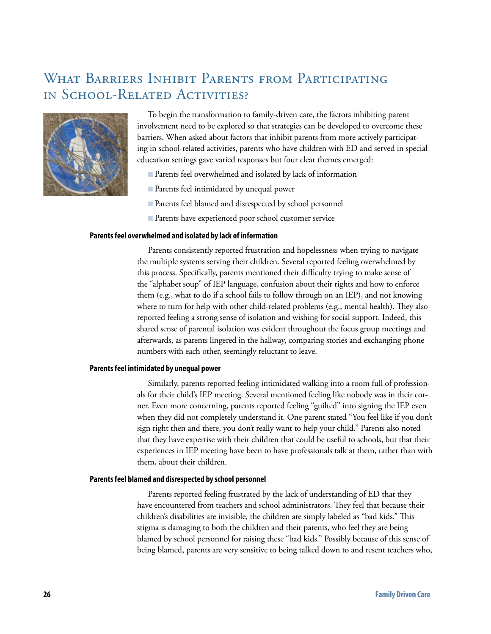## WHAT BARRIERS INHIBIT PARENTS FROM PARTICIPATING in School-Related Activities?



To begin the transformation to family-driven care, the factors inhibiting parent involvement need to be explored so that strategies can be developed to overcome these barriers. When asked about factors that inhibit parents from more actively participating in school-related activities, parents who have children with ED and served in special education settings gave varied responses but four clear themes emerged:

- Parents feel overwhelmed and isolated by lack of information
- Parents feel intimidated by unequal power
- Parents feel blamed and disrespected by school personnel B
- Parents have experienced poor school customer service B

#### **Parents feel overwhelmed and isolated by lack of information**

Parents consistently reported frustration and hopelessness when trying to navigate the multiple systems serving their children. Several reported feeling overwhelmed by this process. Specifically, parents mentioned their difficulty trying to make sense of the "alphabet soup" of IEP language, confusion about their rights and how to enforce them (e.g., what to do if a school fails to follow through on an IEP), and not knowing where to turn for help with other child-related problems (e.g., mental health). They also reported feeling a strong sense of isolation and wishing for social support. Indeed, this shared sense of parental isolation was evident throughout the focus group meetings and afterwards, as parents lingered in the hallway, comparing stories and exchanging phone numbers with each other, seemingly reluctant to leave.

#### **Parents feel intimidated by unequal power**

Similarly, parents reported feeling intimidated walking into a room full of professionals for their child's IEP meeting. Several mentioned feeling like nobody was in their corner. Even more concerning, parents reported feeling "guilted" into signing the IEP even when they did not completely understand it. One parent stated "You feel like if you don't sign right then and there, you don't really want to help your child." Parents also noted that they have expertise with their children that could be useful to schools, but that their experiences in IEP meeting have been to have professionals talk at them, rather than with them, about their children.

#### **Parents feel blamed and disrespected by school personnel**

Parents reported feeling frustrated by the lack of understanding of ED that they have encountered from teachers and school administrators. They feel that because their children's disabilities are invisible, the children are simply labeled as "bad kids." This stigma is damaging to both the children and their parents, who feel they are being blamed by school personnel for raising these "bad kids." Possibly because of this sense of being blamed, parents are very sensitive to being talked down to and resent teachers who,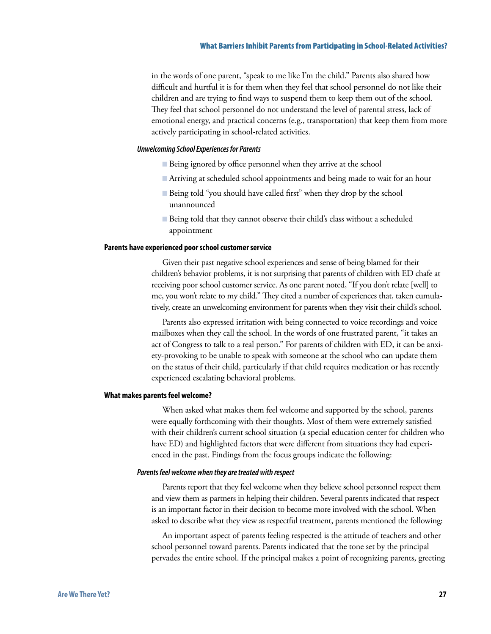in the words of one parent, "speak to me like I'm the child." Parents also shared how difficult and hurtful it is for them when they feel that school personnel do not like their children and are trying to find ways to suspend them to keep them out of the school. They feel that school personnel do not understand the level of parental stress, lack of emotional energy, and practical concerns (e.g., transportation) that keep them from more actively participating in school-related activities.

#### *Unwelcoming School Experiences for Parents*

- Being ignored by office personnel when they arrive at the school
- Arriving at scheduled school appointments and being made to wait for an hour B
- Being told "you should have called first" when they drop by the school unannounced
- Being told that they cannot observe their child's class without a scheduled appointment

#### **Parents have experienced poor school customer service**

Given their past negative school experiences and sense of being blamed for their children's behavior problems, it is not surprising that parents of children with ED chafe at receiving poor school customer service. As one parent noted, "If you don't relate [well] to me, you won't relate to my child." They cited a number of experiences that, taken cumulatively, create an unwelcoming environment for parents when they visit their child's school.

Parents also expressed irritation with being connected to voice recordings and voice mailboxes when they call the school. In the words of one frustrated parent, "it takes an act of Congress to talk to a real person." For parents of children with ED, it can be anxiety-provoking to be unable to speak with someone at the school who can update them on the status of their child, particularly if that child requires medication or has recently experienced escalating behavioral problems.

#### **What makes parents feel welcome?**

When asked what makes them feel welcome and supported by the school, parents were equally forthcoming with their thoughts. Most of them were extremely satisfied with their children's current school situation (a special education center for children who have ED) and highlighted factors that were different from situations they had experienced in the past. Findings from the focus groups indicate the following:

#### *Parents feel welcome when they are treated with respect*

Parents report that they feel welcome when they believe school personnel respect them and view them as partners in helping their children. Several parents indicated that respect is an important factor in their decision to become more involved with the school. When asked to describe what they view as respectful treatment, parents mentioned the following:

An important aspect of parents feeling respected is the attitude of teachers and other school personnel toward parents. Parents indicated that the tone set by the principal pervades the entire school. If the principal makes a point of recognizing parents, greeting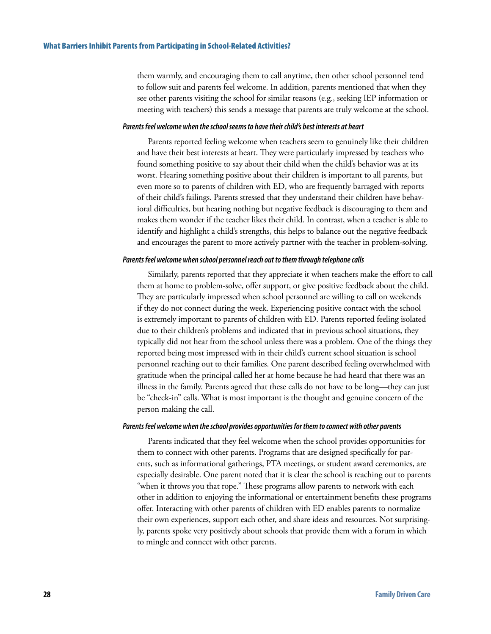them warmly, and encouraging them to call anytime, then other school personnel tend to follow suit and parents feel welcome. In addition, parents mentioned that when they see other parents visiting the school for similar reasons (e.g., seeking IEP information or meeting with teachers) this sends a message that parents are truly welcome at the school.

#### *Parents feel welcome when the school seems to have their child's best interests at heart*

Parents reported feeling welcome when teachers seem to genuinely like their children and have their best interests at heart. They were particularly impressed by teachers who found something positive to say about their child when the child's behavior was at its worst. Hearing something positive about their children is important to all parents, but even more so to parents of children with ED, who are frequently barraged with reports of their child's failings. Parents stressed that they understand their children have behavioral difficulties, but hearing nothing but negative feedback is discouraging to them and makes them wonder if the teacher likes their child. In contrast, when a teacher is able to identify and highlight a child's strengths, this helps to balance out the negative feedback and encourages the parent to more actively partner with the teacher in problem-solving.

#### *Parents feel welcome when school personnel reach out to them through telephone calls*

Similarly, parents reported that they appreciate it when teachers make the effort to call them at home to problem-solve, offer support, or give positive feedback about the child. They are particularly impressed when school personnel are willing to call on weekends if they do not connect during the week. Experiencing positive contact with the school is extremely important to parents of children with ED. Parents reported feeling isolated due to their children's problems and indicated that in previous school situations, they typically did not hear from the school unless there was a problem. One of the things they reported being most impressed with in their child's current school situation is school personnel reaching out to their families. One parent described feeling overwhelmed with gratitude when the principal called her at home because he had heard that there was an illness in the family. Parents agreed that these calls do not have to be long—they can just be "check-in" calls. What is most important is the thought and genuine concern of the person making the call.

#### *Parents feel welcome when the school provides opportunities for them to connect with other parents*

Parents indicated that they feel welcome when the school provides opportunities for them to connect with other parents. Programs that are designed specifically for parents, such as informational gatherings, PTA meetings, or student award ceremonies, are especially desirable. One parent noted that it is clear the school is reaching out to parents "when it throws you that rope." These programs allow parents to network with each other in addition to enjoying the informational or entertainment benefits these programs offer. Interacting with other parents of children with ED enables parents to normalize their own experiences, support each other, and share ideas and resources. Not surprisingly, parents spoke very positively about schools that provide them with a forum in which to mingle and connect with other parents.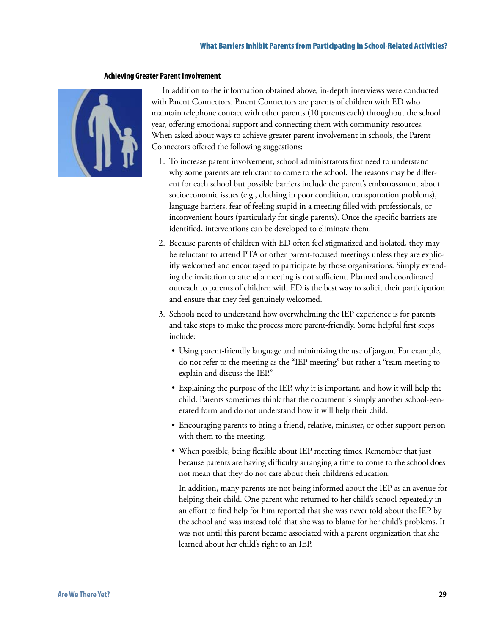#### What Barriers Inhibit Parents from Participating in School-Related Activities?

#### **Achieving Greater Parent Involvement**



In addition to the information obtained above, in-depth interviews were conducted with Parent Connectors. Parent Connectors are parents of children with ED who maintain telephone contact with other parents (10 parents each) throughout the school year, offering emotional support and connecting them with community resources. When asked about ways to achieve greater parent involvement in schools, the Parent Connectors offered the following suggestions:

- 1. To increase parent involvement, school administrators first need to understand why some parents are reluctant to come to the school. The reasons may be different for each school but possible barriers include the parent's embarrassment about socioeconomic issues (e.g., clothing in poor condition, transportation problems), language barriers, fear of feeling stupid in a meeting filled with professionals, or inconvenient hours (particularly for single parents). Once the specific barriers are identified, interventions can be developed to eliminate them.
- 2. Because parents of children with ED often feel stigmatized and isolated, they may be reluctant to attend PTA or other parent-focused meetings unless they are explicitly welcomed and encouraged to participate by those organizations. Simply extending the invitation to attend a meeting is not sufficient. Planned and coordinated outreach to parents of children with ED is the best way to solicit their participation and ensure that they feel genuinely welcomed.
- 3. Schools need to understand how overwhelming the IEP experience is for parents and take steps to make the process more parent-friendly. Some helpful first steps include:
	- Using parent-friendly language and minimizing the use of jargon. For example, do not refer to the meeting as the "IEP meeting" but rather a "team meeting to explain and discuss the IEP."
	- Explaining the purpose of the IEP, why it is important, and how it will help the child. Parents sometimes think that the document is simply another school-generated form and do not understand how it will help their child.
	- Encouraging parents to bring a friend, relative, minister, or other support person with them to the meeting.
	- When possible, being flexible about IEP meeting times. Remember that just because parents are having difficulty arranging a time to come to the school does not mean that they do not care about their children's education.

In addition, many parents are not being informed about the IEP as an avenue for helping their child. One parent who returned to her child's school repeatedly in an effort to find help for him reported that she was never told about the IEP by the school and was instead told that she was to blame for her child's problems. It was not until this parent became associated with a parent organization that she learned about her child's right to an IEP.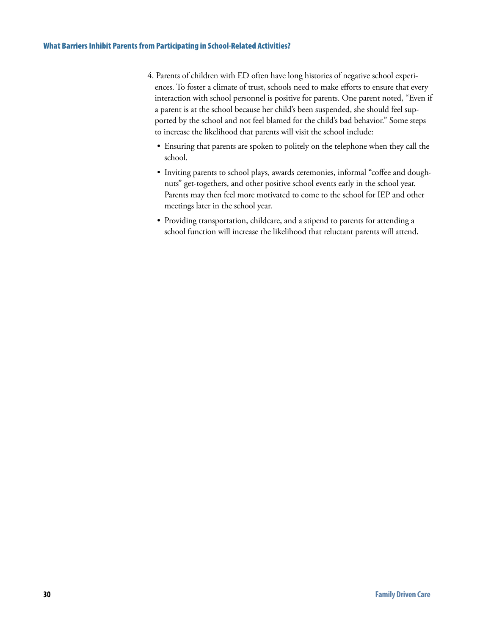- 4. Parents of children with ED often have long histories of negative school experiences. To foster a climate of trust, schools need to make efforts to ensure that every interaction with school personnel is positive for parents. One parent noted, "Even if a parent is at the school because her child's been suspended, she should feel supported by the school and not feel blamed for the child's bad behavior." Some steps to increase the likelihood that parents will visit the school include:
	- Ensuring that parents are spoken to politely on the telephone when they call the school.
	- Inviting parents to school plays, awards ceremonies, informal "coffee and doughnuts" get-togethers, and other positive school events early in the school year. Parents may then feel more motivated to come to the school for IEP and other meetings later in the school year.
	- Providing transportation, childcare, and a stipend to parents for attending a school function will increase the likelihood that reluctant parents will attend.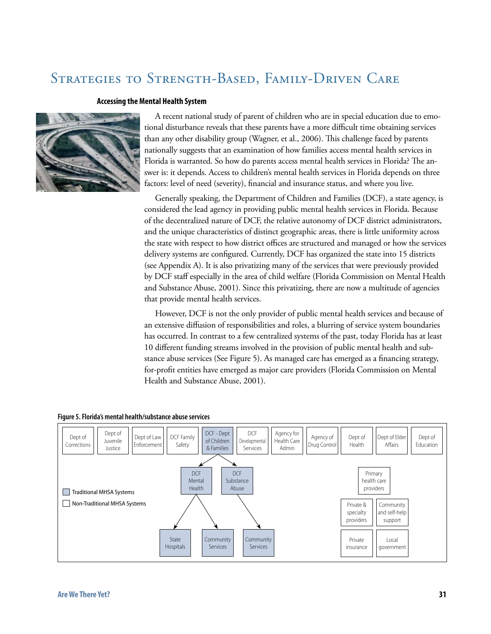# Strategies to Strength-Based, Family-Driven Care

#### **Accessing the Mental Health System**



A recent national study of parent of children who are in special education due to emotional disturbance reveals that these parents have a more difficult time obtaining services than any other disability group (Wagner, et al., 2006). This challenge faced by parents nationally suggests that an examination of how families access mental health services in Florida is warranted. So how do parents access mental health services in Florida? The answer is: it depends. Access to children's mental health services in Florida depends on three factors: level of need (severity), financial and insurance status, and where you live.

Generally speaking, the Department of Children and Families (DCF), a state agency, is considered the lead agency in providing public mental health services in Florida. Because of the decentralized nature of DCF, the relative autonomy of DCF district administrators, and the unique characteristics of distinct geographic areas, there is little uniformity across the state with respect to how district offices are structured and managed or how the services delivery systems are configured. Currently, DCF has organized the state into 15 districts (see Appendix A). It is also privatizing many of the services that were previously provided by DCF staff especially in the area of child welfare (Florida Commission on Mental Health and Substance Abuse, 2001). Since this privatizing, there are now a multitude of agencies that provide mental health services.

However, DCF is not the only provider of public mental health services and because of an extensive diffusion of responsibilities and roles, a blurring of service system boundaries has occurred. In contrast to a few centralized systems of the past, today Florida has at least 10 different funding streams involved in the provision of public mental health and substance abuse services (See Figure 5). As managed care has emerged as a financing strategy, for-profit entities have emerged as major care providers (Florida Commission on Mental Health and Substance Abuse, 2001).



#### **Figure 5. Florida's mental health/substance abuse services**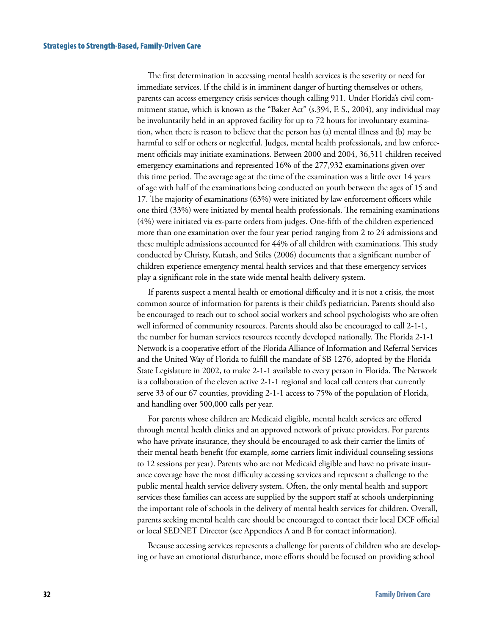The first determination in accessing mental health services is the severity or need for immediate services. If the child is in imminent danger of hurting themselves or others, parents can access emergency crisis services though calling 911. Under Florida's civil commitment statue, which is known as the "Baker Act" (s.394, F. S., 2004), any individual may be involuntarily held in an approved facility for up to 72 hours for involuntary examination, when there is reason to believe that the person has (a) mental illness and (b) may be harmful to self or others or neglectful. Judges, mental health professionals, and law enforcement officials may initiate examinations. Between 2000 and 2004, 36,511 children received emergency examinations and represented 16% of the 277,932 examinations given over this time period. The average age at the time of the examination was a little over 14 years of age with half of the examinations being conducted on youth between the ages of 15 and 17. The majority of examinations (63%) were initiated by law enforcement officers while one third (33%) were initiated by mental health professionals. The remaining examinations (4%) were initiated via ex-parte orders from judges. One-fifth of the children experienced more than one examination over the four year period ranging from 2 to 24 admissions and these multiple admissions accounted for 44% of all children with examinations. This study conducted by Christy, Kutash, and Stiles (2006) documents that a significant number of children experience emergency mental health services and that these emergency services play a significant role in the state wide mental health delivery system.

If parents suspect a mental health or emotional difficulty and it is not a crisis, the most common source of information for parents is their child's pediatrician. Parents should also be encouraged to reach out to school social workers and school psychologists who are often well informed of community resources. Parents should also be encouraged to call 2-1-1, the number for human services resources recently developed nationally. The Florida 2-1-1 Network is a cooperative effort of the Florida Alliance of Information and Referral Services and the United Way of Florida to fulfill the mandate of SB 1276, adopted by the Florida State Legislature in 2002, to make 2-1-1 available to every person in Florida. The Network is a collaboration of the eleven active 2-1-1 regional and local call centers that currently serve 33 of our 67 counties, providing 2-1-1 access to 75% of the population of Florida, and handling over 500,000 calls per year.

For parents whose children are Medicaid eligible, mental health services are offered through mental health clinics and an approved network of private providers. For parents who have private insurance, they should be encouraged to ask their carrier the limits of their mental heath benefit (for example, some carriers limit individual counseling sessions to 12 sessions per year). Parents who are not Medicaid eligible and have no private insurance coverage have the most difficulty accessing services and represent a challenge to the public mental health service delivery system. Often, the only mental health and support services these families can access are supplied by the support staff at schools underpinning the important role of schools in the delivery of mental health services for children. Overall, parents seeking mental health care should be encouraged to contact their local DCF official or local SEDNET Director (see Appendices A and B for contact information).

Because accessing services represents a challenge for parents of children who are developing or have an emotional disturbance, more efforts should be focused on providing school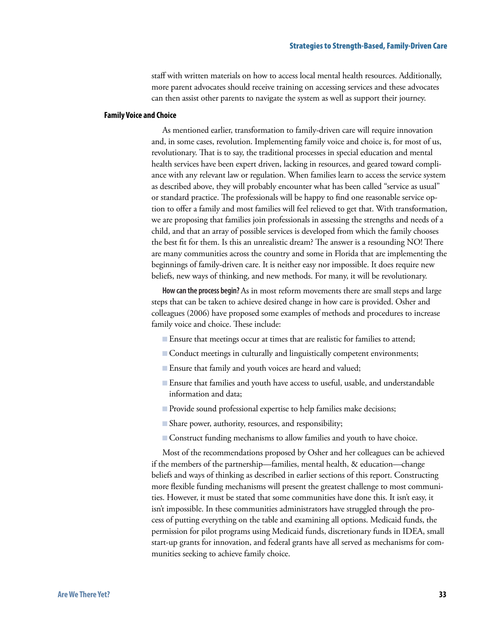staff with written materials on how to access local mental health resources. Additionally, more parent advocates should receive training on accessing services and these advocates can then assist other parents to navigate the system as well as support their journey.

#### **Family Voice and Choice**

As mentioned earlier, transformation to family-driven care will require innovation and, in some cases, revolution. Implementing family voice and choice is, for most of us, revolutionary. That is to say, the traditional processes in special education and mental health services have been expert driven, lacking in resources, and geared toward compliance with any relevant law or regulation. When families learn to access the service system as described above, they will probably encounter what has been called "service as usual" or standard practice. The professionals will be happy to find one reasonable service option to offer a family and most families will feel relieved to get that. With transformation, we are proposing that families join professionals in assessing the strengths and needs of a child, and that an array of possible services is developed from which the family chooses the best fit for them. Is this an unrealistic dream? The answer is a resounding NO! There are many communities across the country and some in Florida that are implementing the beginnings of family-driven care. It is neither easy nor impossible. It does require new beliefs, new ways of thinking, and new methods. For many, it will be revolutionary.

**How can the process begin?** As in most reform movements there are small steps and large steps that can be taken to achieve desired change in how care is provided. Osher and colleagues (2006) have proposed some examples of methods and procedures to increase family voice and choice. These include:

- Ensure that meetings occur at times that are realistic for families to attend;
- Conduct meetings in culturally and linguistically competent environments;
- Ensure that family and youth voices are heard and valued; B
- Ensure that families and youth have access to useful, usable, and understandable information and data;
- Provide sound professional expertise to help families make decisions;
- Share power, authority, resources, and responsibility; B
- **Example 2** Construct funding mechanisms to allow families and youth to have choice.

Most of the recommendations proposed by Osher and her colleagues can be achieved if the members of the partnership—families, mental health, & education—change beliefs and ways of thinking as described in earlier sections of this report. Constructing more flexible funding mechanisms will present the greatest challenge to most communities. However, it must be stated that some communities have done this. It isn't easy, it isn't impossible. In these communities administrators have struggled through the process of putting everything on the table and examining all options. Medicaid funds, the permission for pilot programs using Medicaid funds, discretionary funds in IDEA, small start-up grants for innovation, and federal grants have all served as mechanisms for communities seeking to achieve family choice.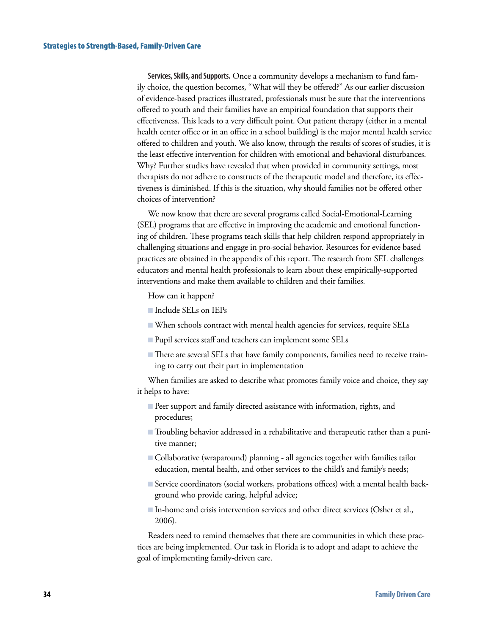**Services, Skills, and Supports.** Once a community develops a mechanism to fund family choice, the question becomes, "What will they be offered?" As our earlier discussion of evidence-based practices illustrated, professionals must be sure that the interventions offered to youth and their families have an empirical foundation that supports their effectiveness. This leads to a very difficult point. Out patient therapy (either in a mental health center office or in an office in a school building) is the major mental health service offered to children and youth. We also know, through the results of scores of studies, it is the least effective intervention for children with emotional and behavioral disturbances. Why? Further studies have revealed that when provided in community settings, most therapists do not adhere to constructs of the therapeutic model and therefore, its effectiveness is diminished. If this is the situation, why should families not be offered other choices of intervention?

We now know that there are several programs called Social-Emotional-Learning (SEL) programs that are effective in improving the academic and emotional functioning of children. These programs teach skills that help children respond appropriately in challenging situations and engage in pro-social behavior. Resources for evidence based practices are obtained in the appendix of this report. The research from SEL challenges educators and mental health professionals to learn about these empirically-supported interventions and make them available to children and their families.

How can it happen?

- Include SELs on IEPs
- When schools contract with mental health agencies for services, require SELs B
- Pupil services staff and teachers can implement some SELs
- There are several SELs that have family components, families need to receive training to carry out their part in implementation

When families are asked to describe what promotes family voice and choice, they say it helps to have:

- Peer support and family directed assistance with information, rights, and B procedures;
- Troubling behavior addressed in a rehabilitative and therapeutic rather than a puni-B tive manner;
- Collaborative (wraparound) planning all agencies together with families tailor education, mental health, and other services to the child's and family's needs;
- Service coordinators (social workers, probations offices) with a mental health back-B ground who provide caring, helpful advice;
- In-home and crisis intervention services and other direct services (Osher et al., B 2006).

Readers need to remind themselves that there are communities in which these practices are being implemented. Our task in Florida is to adopt and adapt to achieve the goal of implementing family-driven care.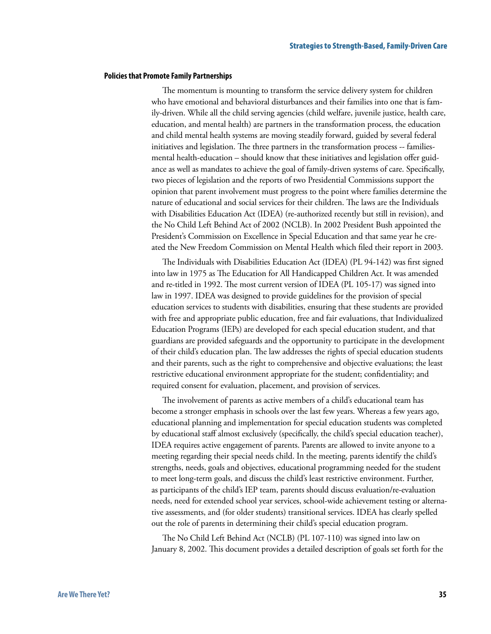#### **Policies that Promote Family Partnerships**

The momentum is mounting to transform the service delivery system for children who have emotional and behavioral disturbances and their families into one that is family-driven. While all the child serving agencies (child welfare, juvenile justice, health care, education, and mental health) are partners in the transformation process, the education and child mental health systems are moving steadily forward, guided by several federal initiatives and legislation. The three partners in the transformation process -- familiesmental health-education – should know that these initiatives and legislation offer guidance as well as mandates to achieve the goal of family-driven systems of care. Specifically, two pieces of legislation and the reports of two Presidential Commissions support the opinion that parent involvement must progress to the point where families determine the nature of educational and social services for their children. The laws are the Individuals with Disabilities Education Act (IDEA) (re-authorized recently but still in revision), and the No Child Left Behind Act of 2002 (NCLB). In 2002 President Bush appointed the President's Commission on Excellence in Special Education and that same year he created the New Freedom Commission on Mental Health which filed their report in 2003.

The Individuals with Disabilities Education Act (IDEA) (PL 94-142) was first signed into law in 1975 as The Education for All Handicapped Children Act. It was amended and re-titled in 1992. The most current version of IDEA (PL 105-17) was signed into law in 1997. IDEA was designed to provide guidelines for the provision of special education services to students with disabilities, ensuring that these students are provided with free and appropriate public education, free and fair evaluations, that Individualized Education Programs (IEPs) are developed for each special education student, and that guardians are provided safeguards and the opportunity to participate in the development of their child's education plan. The law addresses the rights of special education students and their parents, such as the right to comprehensive and objective evaluations; the least restrictive educational environment appropriate for the student; confidentiality; and required consent for evaluation, placement, and provision of services.

The involvement of parents as active members of a child's educational team has become a stronger emphasis in schools over the last few years. Whereas a few years ago, educational planning and implementation for special education students was completed by educational staff almost exclusively (specifically, the child's special education teacher), IDEA requires active engagement of parents. Parents are allowed to invite anyone to a meeting regarding their special needs child. In the meeting, parents identify the child's strengths, needs, goals and objectives, educational programming needed for the student to meet long-term goals, and discuss the child's least restrictive environment. Further, as participants of the child's IEP team, parents should discuss evaluation/re-evaluation needs, need for extended school year services, school-wide achievement testing or alternative assessments, and (for older students) transitional services. IDEA has clearly spelled out the role of parents in determining their child's special education program.

The No Child Left Behind Act (NCLB) (PL 107-110) was signed into law on January 8, 2002. This document provides a detailed description of goals set forth for the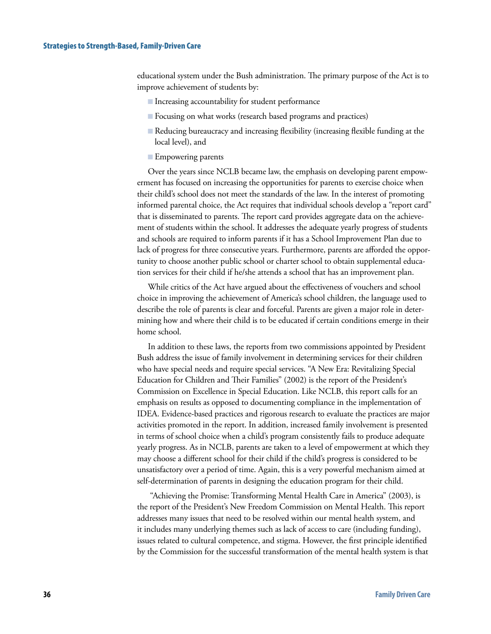#### Strategies to Strength-Based, Family-Driven Care

educational system under the Bush administration. The primary purpose of the Act is to improve achievement of students by:

- $\blacksquare$  Increasing accountability for student performance
- Focusing on what works (research based programs and practices) B
- Reducing bureaucracy and increasing flexibility (increasing flexible funding at the local level), and

#### **Empowering parents**

Over the years since NCLB became law, the emphasis on developing parent empowerment has focused on increasing the opportunities for parents to exercise choice when their child's school does not meet the standards of the law. In the interest of promoting informed parental choice, the Act requires that individual schools develop a "report card" that is disseminated to parents. The report card provides aggregate data on the achievement of students within the school. It addresses the adequate yearly progress of students and schools are required to inform parents if it has a School Improvement Plan due to lack of progress for three consecutive years. Furthermore, parents are afforded the opportunity to choose another public school or charter school to obtain supplemental education services for their child if he/she attends a school that has an improvement plan.

While critics of the Act have argued about the effectiveness of vouchers and school choice in improving the achievement of America's school children, the language used to describe the role of parents is clear and forceful. Parents are given a major role in determining how and where their child is to be educated if certain conditions emerge in their home school.

In addition to these laws, the reports from two commissions appointed by President Bush address the issue of family involvement in determining services for their children who have special needs and require special services. "A New Era: Revitalizing Special Education for Children and Their Families" (2002) is the report of the President's Commission on Excellence in Special Education. Like NCLB, this report calls for an emphasis on results as opposed to documenting compliance in the implementation of IDEA. Evidence-based practices and rigorous research to evaluate the practices are major activities promoted in the report. In addition, increased family involvement is presented in terms of school choice when a child's program consistently fails to produce adequate yearly progress. As in NCLB, parents are taken to a level of empowerment at which they may choose a different school for their child if the child's progress is considered to be unsatisfactory over a period of time. Again, this is a very powerful mechanism aimed at self-determination of parents in designing the education program for their child.

 "Achieving the Promise: Transforming Mental Health Care in America" (2003), is the report of the President's New Freedom Commission on Mental Health. This report addresses many issues that need to be resolved within our mental health system, and it includes many underlying themes such as lack of access to care (including funding), issues related to cultural competence, and stigma. However, the first principle identified by the Commission for the successful transformation of the mental health system is that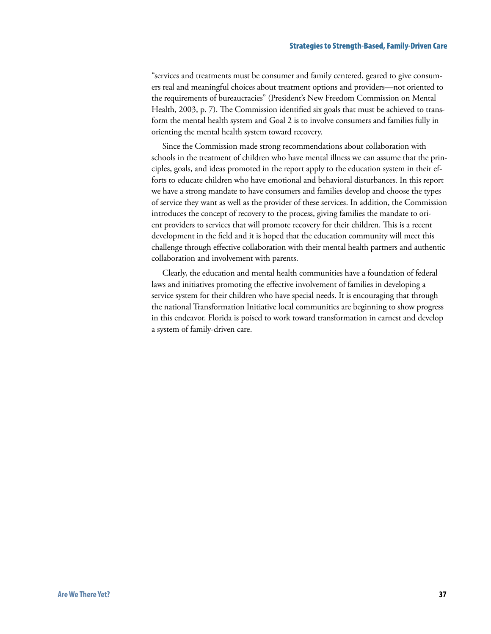#### Strategies to Strength-Based, Family-Driven Care

"services and treatments must be consumer and family centered, geared to give consumers real and meaningful choices about treatment options and providers—not oriented to the requirements of bureaucracies" (President's New Freedom Commission on Mental Health, 2003, p. 7). The Commission identified six goals that must be achieved to transform the mental health system and Goal 2 is to involve consumers and families fully in orienting the mental health system toward recovery.

Since the Commission made strong recommendations about collaboration with schools in the treatment of children who have mental illness we can assume that the principles, goals, and ideas promoted in the report apply to the education system in their efforts to educate children who have emotional and behavioral disturbances. In this report we have a strong mandate to have consumers and families develop and choose the types of service they want as well as the provider of these services. In addition, the Commission introduces the concept of recovery to the process, giving families the mandate to orient providers to services that will promote recovery for their children. This is a recent development in the field and it is hoped that the education community will meet this challenge through effective collaboration with their mental health partners and authentic collaboration and involvement with parents.

Clearly, the education and mental health communities have a foundation of federal laws and initiatives promoting the effective involvement of families in developing a service system for their children who have special needs. It is encouraging that through the national Transformation Initiative local communities are beginning to show progress in this endeavor. Florida is poised to work toward transformation in earnest and develop a system of family-driven care.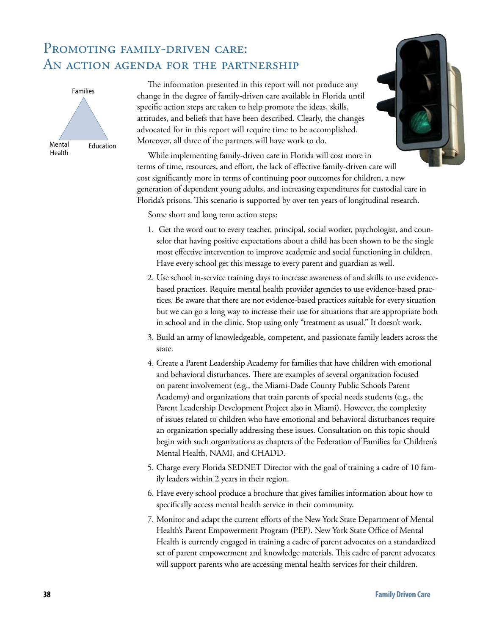# PROMOTING FAMILY-DRIVEN CARE: An action agenda for the partnership



The information presented in this report will not produce any change in the degree of family-driven care available in Florida until specific action steps are taken to help promote the ideas, skills, attitudes, and beliefs that have been described. Clearly, the changes advocated for in this report will require time to be accomplished. Moreover, all three of the partners will have work to do.



While implementing family-driven care in Florida will cost more in terms of time, resources, and effort, the lack of effective family-driven care will cost significantly more in terms of continuing poor outcomes for children, a new generation of dependent young adults, and increasing expenditures for custodial care in Florida's prisons. This scenario is supported by over ten years of longitudinal research.

Some short and long term action steps:

- 1. Get the word out to every teacher, principal, social worker, psychologist, and counselor that having positive expectations about a child has been shown to be the single most effective intervention to improve academic and social functioning in children. Have every school get this message to every parent and guardian as well.
- 2. Use school in-service training days to increase awareness of and skills to use evidencebased practices. Require mental health provider agencies to use evidence-based practices. Be aware that there are not evidence-based practices suitable for every situation but we can go a long way to increase their use for situations that are appropriate both in school and in the clinic. Stop using only "treatment as usual." It doesn't work.
- 3. Build an army of knowledgeable, competent, and passionate family leaders across the state.
- 4. Create a Parent Leadership Academy for families that have children with emotional and behavioral disturbances. There are examples of several organization focused on parent involvement (e.g., the Miami-Dade County Public Schools Parent Academy) and organizations that train parents of special needs students (e.g., the Parent Leadership Development Project also in Miami). However, the complexity of issues related to children who have emotional and behavioral disturbances require an organization specially addressing these issues. Consultation on this topic should begin with such organizations as chapters of the Federation of Families for Children's Mental Health, NAMI, and CHADD.
- 5. Charge every Florida SEDNET Director with the goal of training a cadre of 10 family leaders within 2 years in their region.
- 6. Have every school produce a brochure that gives families information about how to specifically access mental health service in their community.
- 7. Monitor and adapt the current efforts of the New York State Department of Mental Health's Parent Empowerment Program (PEP). New York State Office of Mental Health is currently engaged in training a cadre of parent advocates on a standardized set of parent empowerment and knowledge materials. This cadre of parent advocates will support parents who are accessing mental health services for their children.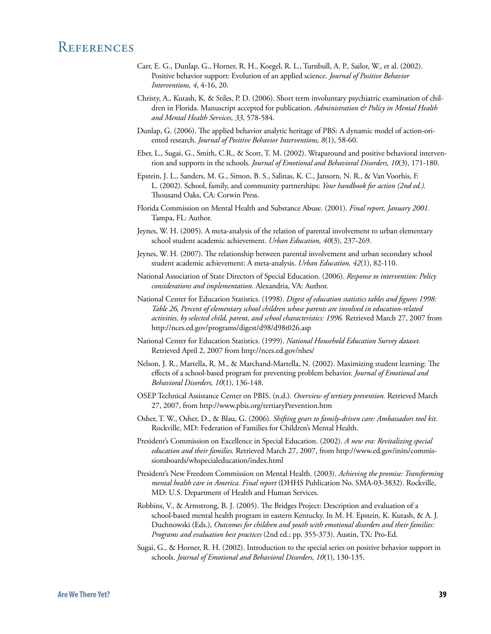### **REFERENCES**

- Carr, E. G., Dunlap, G., Horner, R. H., Koegel, R. L., Turnbull, A. P., Sailor, W., et al. (2002). Positive behavior support: Evolution of an applied science. *Journal of Positive Behavior Interventions, 4*, 4-16, 20.
- Christy, A., Kutash, K. & Stiles, P. D. (2006). Short term involuntary psychiatric examination of children in Florida. Manuscript accepted for publication. *Administration & Policy in Mental Health and Mental Health Services, 33*, 578-584.
- Dunlap, G. (2006). The applied behavior analytic heritage of PBS: A dynamic model of action-oriented research. *Journal of Positive Behavior Interventions, 8*(1), 58-60.
- Eber, L., Sugai, G., Smith, C.R., & Scott, T. M. (2002). Wraparound and positive behavioral intervention and supports in the schools. *Journal of Emotional and Behavioral Disorders, 10*(3), 171-180.
- Epstein, J. L., Sanders, M. G., Simon, B. S., Salinas, K. C., Jansorn, N. R., & Van Voorhis, F. L. (2002). School, family, and community partnerships: *Your handbook for action (2nd ed.).* Thousand Oaks, CA: Corwin Press.
- Florida Commission on Mental Health and Substance Abuse. (2001). *Final report, January 2001.*  Tampa, FL: Author.
- Jeynes, W. H. (2005). A meta-analysis of the relation of parental involvement to urban elementary school student academic achievement. *Urban Education, 40*(3), 237-269.
- Jeynes, W. H. (2007). The relationship between parental involvement and urban secondary school student academic achievement: A meta-analysis. *Urban Education, 42*(1), 82-110.
- National Association of State Directors of Special Education. (2006). *Response to intervention: Policy considerations and implementation.* Alexandria, VA: Author.
- National Center for Education Statistics. (1998). *Digest of education statistics tables and figures 1998: Table 26, Percent of elementary school children whose parents are involved in education-related activities, by selected child, parent, and school characteristics: 1996.* Retrieved March 27, 2007 from http://nces.ed.gov/programs/digest/d98/d98t026.asp
- National Center for Education Statistics. (1999). *National Household Education Survey dataset.*  Retrieved April 2, 2007 from http://nces.ed.gov/nhes/
- Nelson, J. R., Martella, R. M., & Marchand-Martella, N. (2002). Maximizing student learning: The effects of a school-based program for preventing problem behavior. *Journal of Emotional and Behavioral Disorders, 10*(1), 136-148.
- OSEP Technical Assistance Center on PBIS. (n.d.). *Overview of tertiary prevention.* Retrieved March 27, 2007, from http://www.pbis.org/tertiaryPrevention.htm
- Osher, T. W., Osher, D., & Blau, G. (2006). *Shifting gears to family-driven care: Ambassadors tool kit.*  Rockville, MD: Federation of Families for Children's Mental Health.
- President's Commission on Excellence in Special Education. (2002). *A new era: Revitalizing special education and their families.* Retrieved March 27, 2007, from http://www.ed.gov/inits/commissionsboards/whspecialeducation/index.html
- President's New Freedom Commission on Mental Health. (2003). *Achieving the promise: Transforming mental health care in America. Final report* (DHHS Publication No. SMA-03-3832). Rockville, MD: U.S. Department of Health and Human Services.
- Robbins, V., & Armstrong, B. J. (2005). The Bridges Project: Description and evaluation of a school-based mental health program in eastern Kentucky. In M. H. Epstein, K. Kutash, & A. J. Duchnowski (Eds.), *Outcomes for children and youth with emotional disorders and their families: Programs and evaluation best practices* (2nd ed.; pp. 355-373). Austin, TX: Pro-Ed.
- Sugai, G., & Horner, R. H. (2002). Introduction to the special series on positive behavior support in schools. *Journal of Emotional and Behavioral Disorders, 10*(1), 130-135.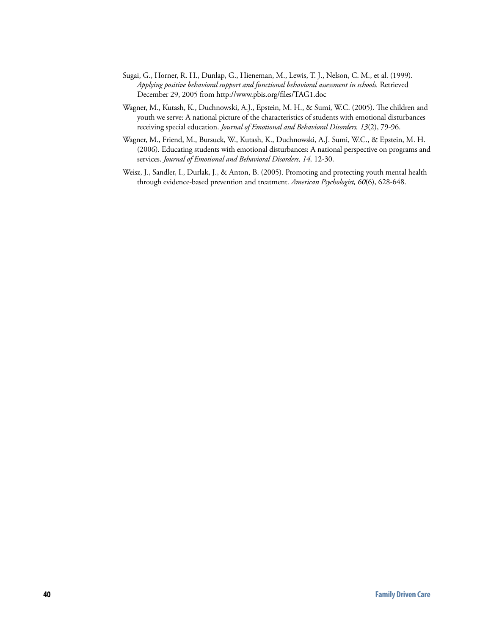- Sugai, G., Horner, R. H., Dunlap, G., Hieneman, M., Lewis, T. J., Nelson, C. M., et al. (1999). *Applying positive behavioral support and functional behavioral assessment in schools.* Retrieved December 29, 2005 from http://www.pbis.org/files/TAG1.doc
- Wagner, M., Kutash, K., Duchnowski, A.J., Epstein, M. H., & Sumi, W.C. (2005). The children and youth we serve: A national picture of the characteristics of students with emotional disturbances receiving special education. *Journal of Emotional and Behavioral Disorders, 13*(2), 79-96.
- Wagner, M., Friend, M., Bursuck, W., Kutash, K., Duchnowski, A.J. Sumi, W.C., & Epstein, M. H. (2006). Educating students with emotional disturbances: A national perspective on programs and services. *Journal of Emotional and Behavioral Disorders, 14,* 12-30.
- Weisz, J., Sandler, I., Durlak, J., & Anton, B. (2005). Promoting and protecting youth mental health through evidence-based prevention and treatment. *American Psychologist, 60*(6), 628-648.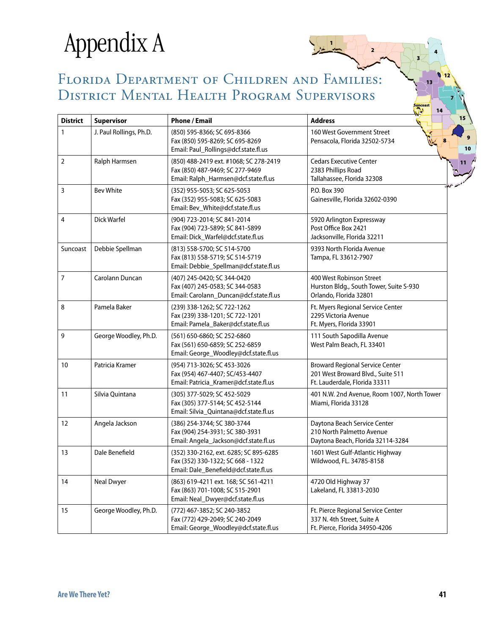# Appendix A

# Florida Department of Children and Families: District Mental Health Program Supervisors

 $\sqrt{1}$ 

 $\mathbf{z}$ 

3

4

13

Suncoast

12

7

| <b>District</b> | Supervisor              | <b>Phone / Email</b>                                                                                                 | 14<br><b>Address</b>                                                                                         |
|-----------------|-------------------------|----------------------------------------------------------------------------------------------------------------------|--------------------------------------------------------------------------------------------------------------|
| $\mathbf{1}$    | J. Paul Rollings, Ph.D. | (850) 595-8366; SC 695-8366<br>Fax (850) 595-8269; SC 695-8269<br>Email: Paul_Rollings@dcf.state.fl.us               | 160 West Government Street<br>Pensacola, Florida 32502-5734                                                  |
| $\overline{2}$  | Ralph Harmsen           | (850) 488-2419 ext. #1068; SC 278-2419<br>Fax (850) 487-9469; SC 277-9469<br>Email: Ralph_Harmsen@dcf.state.fl.us    | <b>Cedars Executive Center</b><br>2383 Phillips Road<br>Tallahassee, Florida 32308                           |
| $\mathbf{3}$    | <b>Bev White</b>        | (352) 955-5053; SC 625-5053<br>Fax (352) 955-5083; SC 625-5083<br>Email: Bev_White@dcf.state.fl.us                   | P.O. Box 390<br>Gainesville, Florida 32602-0390                                                              |
| $\overline{4}$  | Dick Warfel             | (904) 723-2014; SC 841-2014<br>Fax (904) 723-5899; SC 841-5899<br>Email: Dick_Warfel@dcf.state.fl.us                 | 5920 Arlington Expressway<br>Post Office Box 2421<br>Jacksonville, Florida 32211                             |
| Suncoast        | Debbie Spellman         | (813) 558-5700; SC 514-5700<br>Fax (813) 558-5719; SC 514-5719<br>Email: Debbie_Spellman@dcf.state.fl.us             | 9393 North Florida Avenue<br>Tampa, FL 33612-7907                                                            |
| $\overline{7}$  | Carolann Duncan         | (407) 245-0420; SC 344-0420<br>Fax (407) 245-0583; SC 344-0583<br>Email: Carolann_Duncan@dcf.state.fl.us             | 400 West Robinson Street<br>Hurston Bldg., South Tower, Suite S-930<br>Orlando, Florida 32801                |
| 8               | Pamela Baker            | (239) 338-1262; SC 722-1262<br>Fax (239) 338-1201; SC 722-1201<br>Email: Pamela_Baker@dcf.state.fl.us                | Ft. Myers Regional Service Center<br>2295 Victoria Avenue<br>Ft. Myers, Florida 33901                        |
| 9               | George Woodley, Ph.D.   | (561) 650-6860; SC 252-6860<br>Fax (561) 650-6859; SC 252-6859<br>Email: George_Woodley@dcf.state.fl.us              | 111 South Sapodilla Avenue<br>West Palm Beach, FL 33401                                                      |
| 10              | Patricia Kramer         | (954) 713-3026; SC 453-3026<br>Fax (954) 467-4407; SC/453-4407<br>Email: Patricia_Kramer@dcf.state.fl.us             | <b>Broward Regional Service Center</b><br>201 West Broward Blvd., Suite 511<br>Ft. Lauderdale, Florida 33311 |
| 11              | Silvia Quintana         | (305) 377-5029; SC 452-5029<br>Fax (305) 377-5144; SC 452-5144<br>Email: Silvia_Quintana@dcf.state.fl.us             | 401 N.W. 2nd Avenue, Room 1007, North Tower<br>Miami, Florida 33128                                          |
| 12              | Angela Jackson          | (386) 254-3744; SC 380-3744<br>Fax (904) 254-3931; SC 380-3931<br>Email: Angela_Jackson@dcf.state.fl.us              | Daytona Beach Service Center<br>210 North Palmetto Avenue<br>Daytona Beach, Florida 32114-3284               |
| 13              | Dale Benefield          | (352) 330-2162, ext. 6285; SC 895-6285<br>Fax (352) 330-1322; SC 668 - 1322<br>Email: Dale_Benefield@dcf.state.fl.us | 1601 West Gulf-Atlantic Highway<br>Wildwood, FL. 34785-8158                                                  |
| 14              | <b>Neal Dwyer</b>       | (863) 619-4211 ext. 168; SC 561-4211<br>Fax (863) 701-1008; SC 515-2901<br>Email: Neal_Dwyer@dcf.state.fl.us         | 4720 Old Highway 37<br>Lakeland, FL 33813-2030                                                               |
| 15              | George Woodley, Ph.D.   | (772) 467-3852; SC 240-3852<br>Fax (772) 429-2049; SC 240-2049<br>Email: George_Woodley@dcf.state.fl.us              | Ft. Pierce Regional Service Center<br>337 N. 4th Street, Suite A<br>Ft. Pierce, Florida 34950-4206           |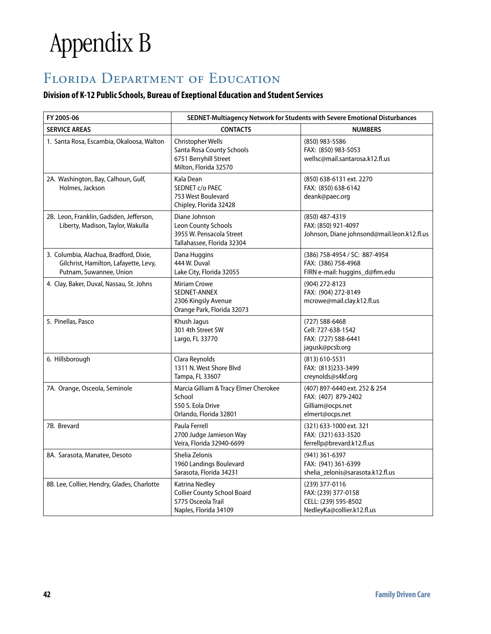# Appendix B

# FLORIDA DEPARTMENT OF EDUCATION

#### **Division of K-12 Public Schools, Bureau of Exeptional Education and Student Services**

| FY 2005-06                                                                                                 | SEDNET-Multiagency Network for Students with Severe Emotional Disturbances                            |                                                                                             |  |  |  |
|------------------------------------------------------------------------------------------------------------|-------------------------------------------------------------------------------------------------------|---------------------------------------------------------------------------------------------|--|--|--|
| <b>SERVICE AREAS</b>                                                                                       | <b>CONTACTS</b>                                                                                       | <b>NUMBERS</b>                                                                              |  |  |  |
| 1. Santa Rosa, Escambia, Okaloosa, Walton                                                                  | Christopher Wells<br>Santa Rosa County Schools<br>6751 Berryhill Street<br>Milton, Florida 32570      | (850) 983-5586<br>FAX: (850) 983-5053<br>wellsc@mail.santarosa.k12.fl.us                    |  |  |  |
| 2A. Washington, Bay, Calhoun, Gulf,<br>Holmes, Jackson                                                     | Kala Dean<br>SEDNET c/o PAEC<br>753 West Boulevard<br>Chipley, Florida 32428                          | (850) 638-6131 ext. 2270<br>FAX: (850) 638-6142<br>deank@paec.org                           |  |  |  |
| 2B. Leon, Franklin, Gadsden, Jefferson,<br>Liberty, Madison, Taylor, Wakulla                               | Diane Johnson<br><b>Leon County Schools</b><br>3955 W. Pensacola Street<br>Tallahassee, Florida 32304 | (850) 487-4319<br>FAX: (850) 921-4097<br>Johnson, Diane johnsond@mail.leon.k12.fl.us        |  |  |  |
| 3. Columbia, Alachua, Bradford, Dixie,<br>Gilchrist, Hamilton, Lafayette, Levy,<br>Putnam, Suwannee, Union | Dana Huggins<br>444 W. Duval<br>Lake City, Florida 32055                                              | (386) 758-4954 / SC: 887-4954<br>FAX: (386) 758-4968<br>FIRN e-mail: huggins_d@firn.edu     |  |  |  |
| 4. Clay, Baker, Duval, Nassau, St. Johns                                                                   | <b>Miriam Crowe</b><br>SEDNET-ANNEX<br>2306 Kingsly Avenue<br>Orange Park, Florida 32073              | (904) 272-8123<br>FAX: (904) 272-8149<br>mcrowe@mail.clay.k12.fl.us                         |  |  |  |
| 5. Pinellas, Pasco                                                                                         | Khush Jagus<br>301 4th Street SW<br>Largo, FL 33770                                                   | (727) 588-6468<br>Cell: 727-638-1542<br>FAX: (727) 588-6441<br>jagusk@pcsb.org              |  |  |  |
| 6. Hillsborough                                                                                            | Clara Reynolds<br>1311 N. West Shore Blvd<br>Tampa, FL 33607                                          | (813) 610-5531<br>FAX: (813)233-3499<br>creynolds@s4kf.org                                  |  |  |  |
| 7A. Orange, Osceola, Seminole                                                                              | Marcia Gilliam & Tracy Elmer Cherokee<br>School<br>550 S. Eola Drive<br>Orlando, Florida 32801        | (407) 897-6440 ext. 252 & 254<br>FAX: (407) 879-2402<br>Gilliam@ocps.net<br>elmert@ocps.net |  |  |  |
| 7B. Brevard                                                                                                | Paula Ferrell<br>2700 Judge Jamieson Way<br>Veira, Florida 32940-6699                                 | (321) 633-1000 ext. 321<br>FAX: (321) 633-3520<br>ferrellp@brevard.k12.fl.us                |  |  |  |
| 8A. Sarasota, Manatee, Desoto                                                                              | Shelia Zelonis<br>1960 Landings Boulevard<br>Sarasota, Florida 34231                                  | (941) 361-6397<br>FAX: (941) 361-6399<br>shelia_zelonis@sarasota.k12.fl.us                  |  |  |  |
| 8B. Lee, Collier, Hendry, Glades, Charlotte                                                                | Katrina Nedley<br><b>Collier County School Board</b><br>5775 Osceola Trail<br>Naples, Florida 34109   | (239) 377-0116<br>FAX: (239) 377-0158<br>CELL: (239) 595-8502<br>NedleyKa@collier.k12.fl.us |  |  |  |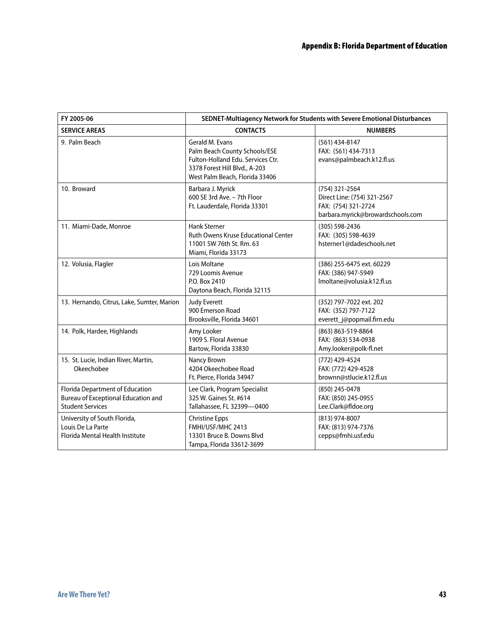| FY 2005-06                                                                                        | SEDNET-Multiagency Network for Students with Severe Emotional Disturbances                                                                               |                                                                                                           |  |  |  |
|---------------------------------------------------------------------------------------------------|----------------------------------------------------------------------------------------------------------------------------------------------------------|-----------------------------------------------------------------------------------------------------------|--|--|--|
| <b>SERVICE AREAS</b>                                                                              | <b>CONTACTS</b>                                                                                                                                          | <b>NUMBERS</b>                                                                                            |  |  |  |
| 9. Palm Beach                                                                                     | Gerald M. Evans<br>Palm Beach County Schools/ESE<br>Fulton-Holland Edu. Services Ctr.<br>3378 Forest Hill Blvd., A-203<br>West Palm Beach, Florida 33406 | $(561)$ 434-8147<br>FAX: (561) 434-7313<br>evans@palmbeach.k12.fl.us                                      |  |  |  |
| 10. Broward                                                                                       | Barbara J. Myrick<br>600 SE 3rd Ave. - 7th Floor<br>Ft. Lauderdale, Florida 33301                                                                        | (754) 321-2564<br>Direct Line: (754) 321-2567<br>FAX: (754) 321-2724<br>barbara.myrick@browardschools.com |  |  |  |
| 11. Miami-Dade, Monroe                                                                            | <b>Hank Sterner</b><br>Ruth Owens Kruse Educational Center<br>11001 SW 76th St. Rm. 63<br>Miami, Florida 33173                                           | (305) 598-2436<br>FAX: (305) 598-4639<br>hsterner1@dadeschools.net                                        |  |  |  |
| 12. Volusia, Flagler                                                                              | Lois Moltane<br>729 Loomis Avenue<br>P.O. Box 2410<br>Daytona Beach, Florida 32115                                                                       | (386) 255-6475 ext. 60229<br>FAX: (386) 947-5949<br>Imoltane@volusia.k12.fl.us                            |  |  |  |
| 13. Hernando, Citrus, Lake, Sumter, Marion                                                        | <b>Judy Everett</b><br>900 Emerson Road<br>Brooksville, Florida 34601                                                                                    | (352) 797-7022 ext. 202<br>FAX: (352) 797-7122<br>everett_j@popmail.firn.edu                              |  |  |  |
| 14. Polk, Hardee, Highlands                                                                       | Amy Looker<br>1909 S. Floral Avenue<br>Bartow, Florida 33830                                                                                             | (863) 863-519-8864<br>FAX: (863) 534-0938<br>Amy.looker@polk-fl.net                                       |  |  |  |
| 15. St. Lucie, Indian River, Martin,<br>Okeechobee                                                | Nancy Brown<br>4204 Okeechobee Road<br>Ft. Pierce, Florida 34947                                                                                         | (772) 429-4524<br>FAX: (772) 429-4528<br>brownn@stlucie.k12.fl.us                                         |  |  |  |
| Florida Department of Education<br>Bureau of Exceptional Education and<br><b>Student Services</b> | Lee Clark, Program Specialist<br>325 W. Gaines St. #614<br>Tallahassee, FL 32399-0400                                                                    | (850) 245-0478<br>FAX: (850) 245-0955<br>Lee.Clark@fldoe.org                                              |  |  |  |
| University of South Florida,<br>Louis De La Parte<br>Florida Mental Health Institute              | <b>Christine Epps</b><br>FMHI/USF/MHC 2413<br>13301 Bruce B. Downs Blvd<br>Tampa, Florida 33612-3699                                                     | (813) 974-8007<br>FAX: (813) 974-7376<br>cepps@fmhi.usf.edu                                               |  |  |  |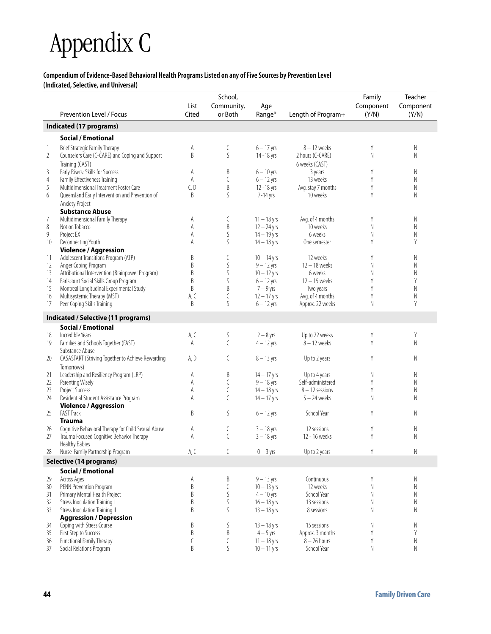# Appendix C

### **Compendium of Evidence-Based Behavioral Health Programs Listed on any of Five Sources by Prevention Level**

**(Indicated, Selective, and Universal)**

|                |                                                                         | List      | School,<br>Community,     | Age                           |                    | Family<br>Component | Teacher<br>Component |
|----------------|-------------------------------------------------------------------------|-----------|---------------------------|-------------------------------|--------------------|---------------------|----------------------|
|                | Prevention Level / Focus                                                | Cited     | or Both                   | Range*                        | Length of Program+ | (Y/N)               | (Y/N)                |
|                | Indicated (17 programs)                                                 |           |                           |                               |                    |                     |                      |
|                | <b>Social / Emotional</b>                                               |           |                           |                               |                    |                     |                      |
| $\mathbf{1}$   | <b>Brief Strategic Family Therapy</b>                                   | A         | C                         | $6 - 17$ vrs                  | $8 - 12$ weeks     | Y                   | N                    |
| $\overline{2}$ | Counselors Care (C-CARE) and Coping and Support                         | B         | S                         | 14-18 yrs                     | 2 hours (C-CARE)   | N                   | N                    |
|                | Training (CAST)                                                         |           |                           |                               | 6 weeks (CAST)     |                     |                      |
| 3              | Early Risers: Skills for Success                                        | A         | B                         | $6 - 10$ yrs                  | 3 years            | Y                   | N                    |
| $\overline{4}$ | Family Effectiveness Training                                           | A         | C                         | $6 - 12$ yrs                  | 13 weeks           | Y                   | N                    |
| 5              | Multidimensional Treatment Foster Care                                  | C, D      | B                         | $12 - 18$ yrs                 | Avg. stay 7 months | Y                   | N                    |
| 6              | Queensland Early Intervention and Prevention of                         | B         | S                         | 7-14 yrs                      | 10 weeks           | Y                   | Ν                    |
|                | Anxiety Project                                                         |           |                           |                               |                    |                     |                      |
|                | <b>Substance Abuse</b>                                                  |           |                           |                               |                    |                     |                      |
| 7              | Multidimensional Family Therapy                                         | Α         | C                         | $11 - 18$ yrs                 | Avg. of 4 months   | Y                   | N                    |
| 8              | Not on Tobacco                                                          | A         | B                         | $12 - 24$ yrs                 | 10 weeks           | N                   | N                    |
| 9              | Project EX                                                              | A         | S                         | $14 - 19$ yrs                 | 6 weeks            | N                   | Ν                    |
| 10             | Reconnecting Youth                                                      | Α         | S                         | $14 - 18$ yrs                 | One semester       | Y                   | Y                    |
|                | <b>Violence / Aggression</b>                                            |           |                           |                               |                    |                     |                      |
| 11             | Adolescent Transitions Program (ATP)                                    | B         | C                         | $10 - 14$ yrs                 | 12 weeks           | Y                   | Ν                    |
| 12             | Anger Coping Program                                                    | B         | S                         | $9 - 12$ yrs                  | $12 - 18$ weeks    | N                   | N                    |
| 13             | Attributional Intervention (Brainpower Program)                         | B         | $\mathsf S$               | $10 - 12$ yrs                 | 6 weeks            | Ν                   | Ν                    |
| 14             | Earlscourt Social Skills Group Program                                  | B<br>B    | S<br>B                    | $6 - 12$ yrs                  | $12 - 15$ weeks    | Y<br>Y              | Y                    |
| 15<br>16       | Montreal Longitudinal Experimental Study<br>Multisystemic Therapy (MST) |           | $\mathcal{C}$             | $7 - 9$ yrs                   | Two years          | Y                   | N<br>N               |
|                | Peer Coping Skills Training                                             | A, C<br>B | S                         | $12 - 17$ yrs<br>$6 - 12$ yrs | Avg. of 4 months   | N                   | Y                    |
| 17             |                                                                         |           |                           |                               | Approx. 22 weeks   |                     |                      |
|                | Indicated / Selective (11 programs)                                     |           |                           |                               |                    |                     |                      |
|                | <b>Social / Emotional</b>                                               |           |                           |                               |                    |                     |                      |
| 18             | Incredible Years                                                        | A, C      | S                         | $2 - 8$ yrs                   | Up to 22 weeks     | Y                   | Y                    |
| 19             | Families and Schools Together (FAST)                                    | A         | $\mathcal{C}$             | $4 - 12$ yrs                  | $8 - 12$ weeks     | Y                   | N                    |
|                | Substance Abuse                                                         |           |                           |                               |                    |                     |                      |
| 20             | CASASTART (Striving Together to Achieve Rewarding                       | A, D      | C                         | $8 - 13$ yrs                  | Up to 2 years      | Υ                   | Ν                    |
|                | Tomorrows)                                                              |           |                           |                               |                    |                     |                      |
| 21             | Leadership and Resiliency Program (LRP)                                 | Α         | B                         | $14 - 17$ yrs                 | Up to 4 years      | Ν                   | N                    |
| 22             | Parenting Wisely                                                        | A         | C                         | $9 - 18$ yrs                  | Self-administered  | Y                   | Ν                    |
| 23             | Project Success                                                         | A         | C                         | $14 - 18$ yrs                 | $8 - 12$ sessions  | Y                   | N                    |
| 24             | Residential Student Assistance Program                                  | A         | $\mathcal{C}$             | $14 - 17$ yrs                 | $5 - 24$ weeks     | Ν                   | Ν                    |
|                | <b>Violence / Aggression</b>                                            |           |                           |                               |                    |                     |                      |
| 25             | <b>FAST Track</b>                                                       | B         | S                         | $6 - 12$ yrs                  | School Year        | Y                   | N                    |
|                | <b>Trauma</b>                                                           |           |                           |                               |                    |                     |                      |
| 26             | Cognitive Behavioral Therapy for Child Sexual Abuse                     | Α         | C                         | $3 - 18$ yrs                  | 12 sessions        | Y                   | N                    |
| 27             | Trauma Focused Cognitive Behavior Therapy                               | A         | $\mathcal{C}$             | $3 - 18$ yrs                  | 12 - 16 weeks      | Y                   | Ν                    |
|                | <b>Healthy Babies</b>                                                   |           |                           |                               |                    |                     |                      |
| 28             | Nurse-Family Partnership Program                                        | A, C      |                           | $0 - 3$ yrs                   | Up to 2 years      |                     | N                    |
|                | Selective (14 programs)                                                 |           |                           |                               |                    |                     |                      |
|                | <b>Social / Emotional</b>                                               |           |                           |                               |                    |                     |                      |
| 29             | Across Ages                                                             | A         | $\boldsymbol{\mathsf{B}}$ | $9 - 13$ yrs                  | Continuous         | Y                   | Ν                    |
| 30             | PENN Prevention Program                                                 | $\,$ B    | $\mathsf{C}$              | $10 - 13$ yrs                 | 12 weeks           | $\mathsf N$         | N                    |
| 31             | Primary Mental Health Project                                           | B         | $\mathsf S$               | $4 - 10$ yrs                  | School Year        | N                   | N                    |
| 32             | Stress Inoculation Training I                                           | $\,$ B    | $\mathsf S$               | $16 - 18$ yrs                 | 13 sessions        | N                   | Ν                    |
| 33             | Stress Inoculation Training II<br><b>Aggression / Depression</b>        | B         | S                         | $13 - 18$ yrs                 | 8 sessions         | N                   | N                    |
| 34             | Coping with Stress Course                                               | B         | S                         | $13 - 18$ yrs                 | 15 sessions        | Ν                   | N                    |
| 35             | First Step to Success                                                   | B         | B                         | $4-5$ yrs                     | Approx. 3 months   | Y                   | Y                    |
| 36             | Functional Family Therapy                                               | $\bigl($  | C                         | $11 - 18$ yrs                 | $8 - 26$ hours     | Y                   | N                    |
| 37             | Social Relations Program                                                | B         | S                         | $10 - 11$ yrs                 | School Year        | $\mathsf N$         | $\sf N$              |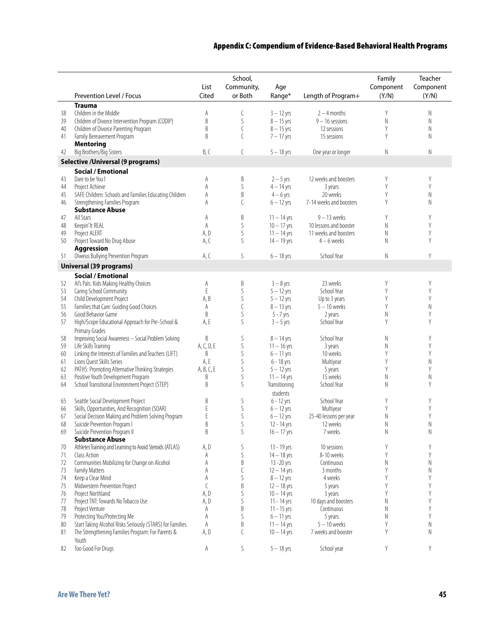#### Appendix C: Compendium of Evidence-Based Behavioral Health Programs

|          | Prevention Level / Focus                                  | List<br>Cited  | School,<br>Community,<br>or Both | Age<br>Range* | Length of Program+      | Family<br>Component<br>(Y/N) | Teacher<br>Component<br>(Y/N) |
|----------|-----------------------------------------------------------|----------------|----------------------------------|---------------|-------------------------|------------------------------|-------------------------------|
|          |                                                           |                |                                  |               |                         |                              |                               |
|          | <b>Trauma</b><br>Children in the Middle                   |                |                                  | $3 - 12$ yrs  | $2 - 4$ months          | Y                            | Ν                             |
| 38<br>39 | Children of Divorce Intervention Program (CODIP)          | Α<br>$\,$ B    | C<br>S                           | $8 - 15$ yrs  | $9 - 16$ sessions       | N                            | N                             |
| 40       | Children of Divorce Parenting Program                     | $\overline{B}$ | C                                | $8 - 15$ yrs  | 12 sessions             | Y                            | N                             |
| 41       | Family Bereavement Program                                | B              | C                                | $7 - 17$ yrs  | 15 sessions             | Y                            | N                             |
|          | <b>Mentoring</b>                                          |                |                                  |               |                         |                              |                               |
| 42       | Big Brothers/Big Sisters                                  | B, C           | C                                | $5 - 18$ yrs  | One year or longer      | Ν                            | N                             |
|          | <b>Selective / Universal (9 programs)</b>                 |                |                                  |               |                         |                              |                               |
|          | <b>Social / Emotional</b>                                 |                |                                  |               |                         |                              |                               |
| 43       | Dare to be You1                                           | A              | B                                | $2 - 5$ yrs   | 12 weeks and boosters   | Y                            | Y                             |
| 44       | Project Achieve                                           | A              | S                                | $4 - 14$ yrs  | 3 years                 | Y                            | Y                             |
| 45       | SAFE Children: Schools and Families Educating Children    | A              | B                                | $4 - 6$ yrs   | 20 weeks                | Y                            | N                             |
| 46       | Strengthening Families Program                            | A              | $\mathcal{C}$                    | $6 - 12$ yrs  | 7-14 weeks and boosters | Y                            | N                             |
|          | <b>Substance Abuse</b>                                    |                |                                  |               |                         |                              |                               |
| 47       | All Stars                                                 | A              | B                                | $11 - 14$ yrs | $9 - 13$ weeks          | Y                            | Y                             |
| 48       | Keepin' It REAL                                           | A              | S                                | $10 - 17$ yrs | 10 lessons and booster  | N                            | Y                             |
| 49       | Project ALERT                                             | A, D           | S                                | $11 - 14$ yrs | 11 weeks and boosters   | N                            | Y                             |
| 50       | Project Toward No Drug Abuse                              | A, C           | S                                | $14 - 19$ yrs | $4 - 6$ weeks           | Ν                            | Y                             |
|          | <b>Aggression</b>                                         |                |                                  |               |                         |                              |                               |
| 51       | Olweus Bullying Prevention Program                        | A, C           | S                                | $6 - 18$ yrs  | School Year             | N                            | Y                             |
|          | <b>Universal (39 programs)</b>                            |                |                                  |               |                         |                              |                               |
|          | <b>Social / Emotional</b>                                 |                |                                  |               |                         |                              |                               |
| 52       | Al's Pals: Kids Making Healthy Choices                    | Α              | B                                | $3 - 8$ yrs   | 23 weeks                | Y                            | Y                             |
| 53       | Caring School Community                                   | $\mathsf E$    | S                                | $5 - 12$ yrs  | School Year             | Y                            | Y                             |
| 54       | Child Development Project                                 | A, B           | $\mathsf S$                      | $5 - 12$ yrs  | Up to 3 years           | Y                            | Y                             |
| 55       | Families that Care: Guiding Good Choices                  | A              | C                                | $8 - 13$ yrs  | $5 - 10$ weeks          | Y                            | N                             |
| 56       | Good Behavior Game                                        | B              | S                                | $5 - 7$ yrs   | 2 years                 | N                            | Y                             |
| 57       | High/Scope Educational Approach for Pre-School &          | A, E           | S                                | $3 - 5$ yrs   | School Year             | Y                            | Υ                             |
|          | Primary Grades                                            |                |                                  |               |                         |                              |                               |
| 58       | Improving Social Awareness - Social Problem Solving       | B              | S                                | $8 - 14$ yrs  | School Year             | Ν                            | Y                             |
| 59       | Life Skills Training                                      | A, C, D, E     | $\mathsf S$                      | $11 - 16$ yrs | 3 years                 | N                            | Y                             |
| 60       | Linking the Interests of Families and Teachers (LIFT)     | B              | S                                | $6 - 11$ yrs  | 10 weeks                | Y                            | Y                             |
| 61       | Lions Quest Skills Series                                 | A, E           | $\mathsf S$                      | $6 - 18$ yrs  | Multiyear               | Y                            | N                             |
| 62       | PATHS: Promoting Alternative Thinking Strategies          | A, B, C, E     | S                                | $5 - 12$ yrs  | 5 years                 | Y                            | Y                             |
| 63       | Positive Youth Development Program                        | B              | S                                | $11 - 14$ yrs | 15 weeks                | $\hbox{N}$                   | Ν                             |
| 64       | School Transitional Environment Project (STEP)            | B              | S                                | Transitioning | School Year             | Ν                            | Y                             |
|          |                                                           |                |                                  | students      |                         |                              |                               |
| 65       | Seattle Social Development Project                        | B              | S                                | $6 - 12$ yrs  | School Year             | Y                            | Y                             |
| 66       | Skills, Opportunities, And Recognition (SOAR)             | E              | $\mathsf S$                      | $6 - 12$ yrs  | Multiyear               | Y                            | Y                             |
| 67       | Social Decision Making and Problem Solving Program        | $\mathsf E$    | S                                | $6 - 12$ yrs  | 25-40 lessons per year  | N                            | Y                             |
| 68       | Suicide Prevention Program I                              | B              | S                                | 12 - 14 yrs   | 12 weeks                | N                            | N                             |
| 69       | Suicide Prevention Program II                             | B              | S                                | $16 - 17$ yrs | 7 weeks                 | N                            | N                             |
|          | <b>Substance Abuse</b>                                    |                |                                  |               |                         |                              |                               |
| 70       | Athletes Training and Learning to Avoid Steroids (ATLAS)  | A, D           | S                                | 13 - 19 yrs   | 10 sessions             | Y                            | Y                             |
| 71       | Class Action                                              | Α              | S                                | $14 - 18$ yrs | 8-10 weeks              | Y                            | Y                             |
| 72       | Communities Mobilizing for Change on Alcohol              | Α              | B                                | 13 - 20 yrs   | Continuous              | Ν                            | Ν                             |
| 73       | <b>Family Matters</b>                                     | A              | C                                | $12 - 14$ yrs | 3 months                | Y                            | N                             |
| 74       | Keep a Clear Mind                                         | A              | S                                | $8 - 12$ yrs  | 4 weeks                 | Y                            | Y                             |
| 75       | Midwestern Prevention Project                             | C              | B                                | $12 - 18$ yrs | 5 years                 | Y                            | Y                             |
| 76       | Project Northland                                         | A, D           | S                                | $10 - 14$ yrs | 3 years                 | Y                            | Y                             |
| 77       | Project TNT: Towards No Tobacco Use                       | A, D           | S                                | $11 - 14$ yrs | 10 days and boosters    | Ν                            | Y                             |
| 78       | Project Venture                                           | Α              | B                                | $11 - 15$ yrs | Continuous              | N                            | Y                             |
| 79       | Protecting You/Protecting Me                              | A              | S                                | $6 - 11$ yrs  | 5 years                 | N                            | Y                             |
| 80       | Start Taking Alcohol Risks Seriously (STARS) for Families | A              | B                                | $11 - 14$ yrs | $5 - 10$ weeks          | Y                            | $\mathsf N$                   |
| 81       | The Strengthening Families Program: For Parents &         | A, D           | C                                | $10 - 14$ yrs | 7 weeks and booster     | Y                            | N                             |
|          | Youth                                                     |                |                                  |               |                         |                              |                               |
| 82       | Too Good For Drugs                                        | Α              | S                                | $5 - 18$ yrs  | School year             | Υ                            | Y                             |